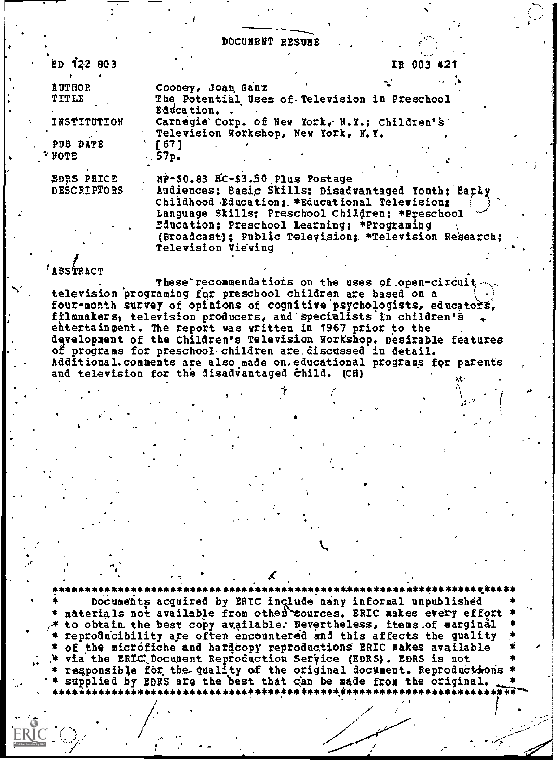DOCUMENT RESUME

| $ED$ 122 803                                                         |                                                                                                                                                                                                                                                                                                                                 |  | IR 003 421 |  |
|----------------------------------------------------------------------|---------------------------------------------------------------------------------------------------------------------------------------------------------------------------------------------------------------------------------------------------------------------------------------------------------------------------------|--|------------|--|
| <b>AUTHOR</b><br>TITLE<br>INSTITUTION<br>PUB DATE<br>$^{\star}$ NOTE | Cooney, Joan Ganz<br>The Potential Uses of Television in Preschool<br>Education<br>Carnegie Corp. of New York, N.Y.; Children's<br>Television Workshop, New York, N.Y.<br>$f$ 67 1<br>.57 <sub>p</sub>                                                                                                                          |  |            |  |
| <b>EDRS PRICE</b><br><b>DESCRIPTORS</b>                              | MP-\$0.83 HC-\$3.50 Plus Postage<br>Audiences; Basic Skills; Disadvantaged Youth; Barly<br>Childhood Education: *Educational Television:<br>Language Skills; Preschool Children; *Preschool<br>Education: Preschool Learning: *Programing<br>(Broadcast): Public Television: *Television Research;<br><b>Television Viewing</b> |  |            |  |

## $'$ ABSTRACT

These recommendations on the uses of open-circuit. television programing for preschool children are based on a four-month survey of opinions of cognitive psychologists, educators, filmmakers, television producers, and specialists in children's entertaingent. The report was written in 1967 prior to the development of the Children's Television Workshop. Desirable features of programs for preschool children are discussed in detail. Additional comments are also made on educational programs for parents and television for the disadvantaged child. (CH)

Documents acquired by ERIC include many informal unpublished<br>materials not available from other sources. ERIC makes every effort to obtain the best copy available. Nevertheless, items of marginal reproducibility are often encountered and this affects the quality of the microfiche and hardcopy reproductions ERIC makes available via the ERIC Document Reproduction Service (EDRS). EDRS is not responsible for the quality of the original document. Reproductions supplied by EDRS are the best that can be made from the original.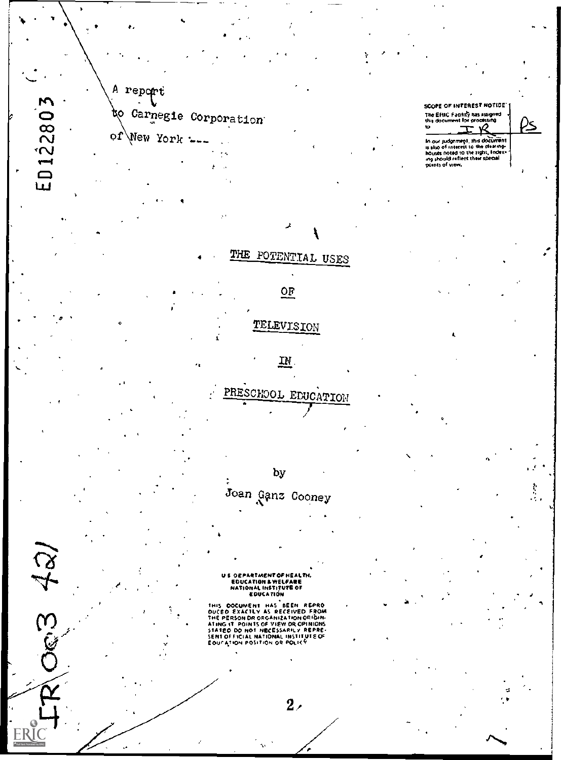A report Carnegie Corporation to of New York  $-$ .

ED122803

63 421

ERI

SCOPE OF INTEREST NOTICE The ERIC Facility has assigned  $\overline{10}$ R In our judgement, this document<br>is also of interest to the clearing-<br>houses noted to the right, Index-<br>ing should reflect their special<br>points of view,

Î.

US OEPARTMENT OF HEALTH.<br>EDUCATION & WELFARE<br>NATIONAL INSTITUTE OF<br>EDUCATION

THE POTENTIAL USES

 $OF$ </u>

TELEVISION

 $\underline{\mathbf{m}}$ .

PRESCHOOL EDUCATION

by

Joan Ganz Cooney

EULEATION<br>
THIS DOCUMENT HAS BEEN REPRO<br>
DUCED EXACTLY AS RECEIVED FROM<br>
THE PERSON DR ORGANIZATION ORIGINATING 17 POINTS OF VIEW OR OPINIONS<br>
SENT OF FICIAL NATIONAL INSTITUTE OF<br>
EOUCATION POSITION OR POLICY<br>
EOUCATION P

 $2<sub>z</sub>$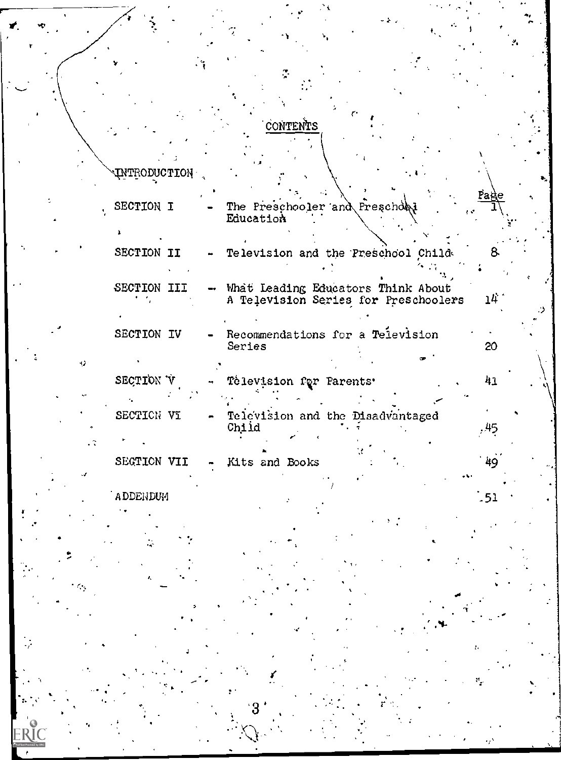## **CONTENTS**

 $\overline{\phantom{a}}$ 

| <b>UNTRODUCTION</b> |  |                                                                            |      |
|---------------------|--|----------------------------------------------------------------------------|------|
| SECTION I           |  | The Preschooler and Preschool<br>Education                                 | Page |
|                     |  |                                                                            |      |
| SECTION II          |  | Television and the Preschool Child                                         | 8.   |
| SECTION III         |  | What Leading Educators Think About<br>A Television Series for Preschoolers | 14.  |
| SECTION IV          |  | Recommendations for a Television<br>Series                                 | 20   |
| SECTION V           |  | Television for Parents'                                                    | 41   |
| SECTION VI          |  | Television and the Disadvantaged<br>Child                                  |      |
| SEGTION VII         |  | Kits and Books                                                             | 49   |
|                     |  |                                                                            |      |

 $\frac{1}{2}$ 51

**ADDENDUM** 

ø

ERIC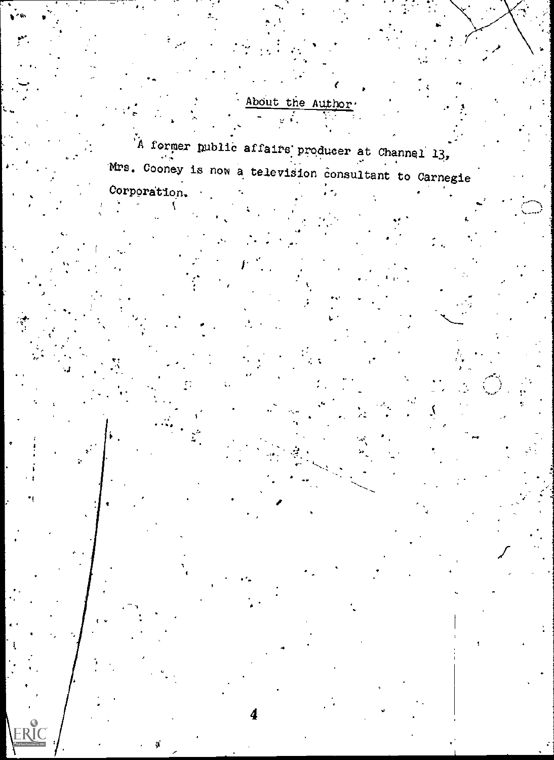About the Author

A former public affairs producer at Channel 13, Mrs. Cooney is now a television consultant to Carnegie Corporation.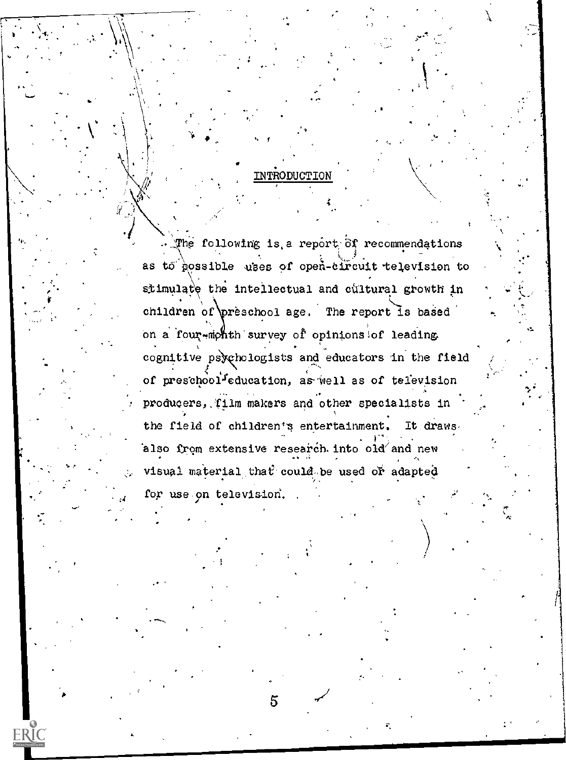### INTRODUCTION

The following is a report of recommendations as to possible uses of open-circuit television to stimulate the intellectual and cultural growth in children of preschool age. The report is based on a four-month survey of opinions of leading. cognitive psychologists and educators in the field of preschool<sup>f</sup>education, as well as of television producers, film makers and other specialists in the field of children's entertainment. It draws also from extensive research into old and new visual material that could be used or adapted for use on television.

**FRIC**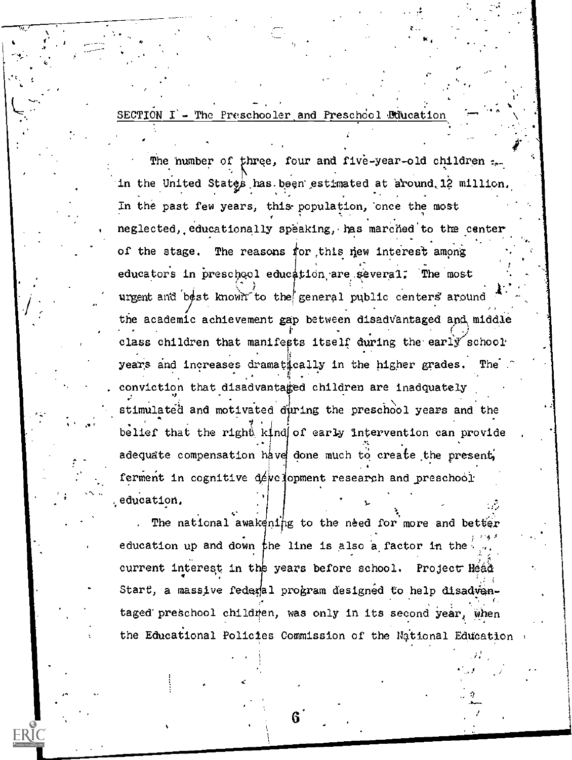SECTION I - The Preschooler and Preschool Education

The number of three, four and five-year-old children ... in the United States has been estimated at around 12 million. In the past few years, this population, once the most neglected, educationally speaking, has marched to the center of the stage. The reasons for this new interest among educators in preschool education are several. The most urgent and best known to the general public centers around the academic achievement gap between disadvantaged and middle class children that manifests itself during the early school years and increases dramatically in the higher grades. The conviction that disadvantaged children are inadquately stimulated and motivated during the preschool years and the belief that the right kind of early intervention can provide adequate compensation have done much to create the present, ferment in cognitive development research and preschool education.

The national awakening to the need for more and better education up and down the line is also a factor in the  $\overline{\mathbb{R}}$ current interest in the years before school. Project Head Start, a massive federal program designed to help disadvantaged preschool children, was only in its second year, when the Educational Policies Commission of the National Education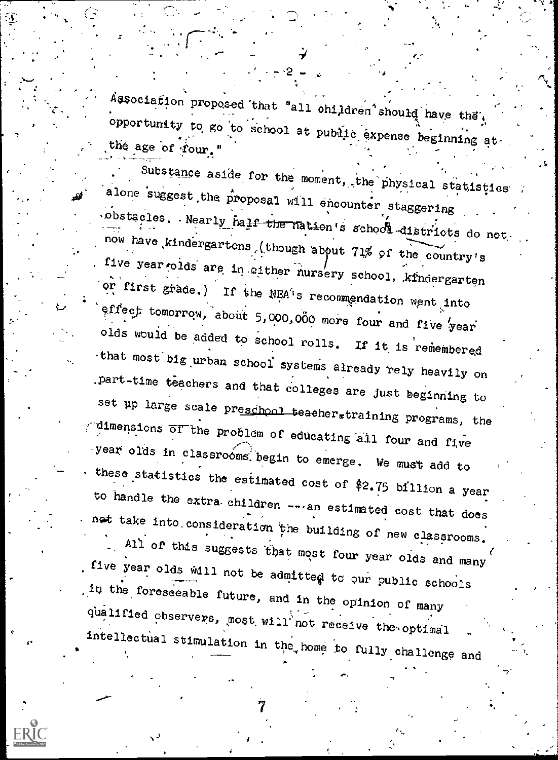Association proposed that "all ohildren should have they opportunity to go to school at public expense beginning at. the age of four."

Substance aside for the moment, the physical statistics alone suggest the proposal will encounter staggering obstacles. Nearly half the nation's school districts do not. now have kindergartens (though about 71% of the country's five year olds are in either nursery school, kindergarten or first grade.) If the NEA's recommendation went into effect tomorrow, about 5,000,000 more four and five year olds would be added to school rolls. If it is remembered that most big urban school systems already rely heavily on part-time teachers and that colleges are just beginning to set up large scale preschool teacher.training programs, the dimensions  $\overline{or}$  the problem of educating all four and five year olds in classrooms begin to emerge. We must add to these statistics the estimated cost of \$2.75 billion a year to handle the extra children ---- an estimated cost that does net take into consideration the building of new classrooms.

All of this suggests that most four year olds and many five year olds will not be admitted to our public schools in the foreseeable future, and in the opinion of many qualified observers, most will not receive the optimal intellectual stimulation in the home to fully challenge and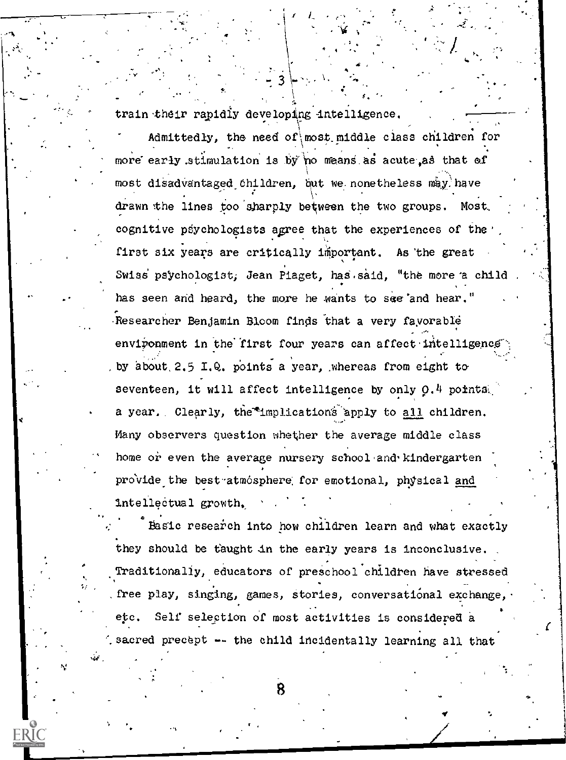$\frac{1}{2}$ ,  $\frac{1}{2}$ ,  $\frac{1}{2}$ ,  $\frac{1}{2}$ ,  $\frac{1}{2}$ ,  $\frac{1}{2}$ ,  $\frac{1}{2}$ ,  $\frac{1}{2}$ ,  $\frac{1}{2}$ ,  $\frac{1}{2}$ ,  $\frac{1}{2}$ ,  $\frac{1}{2}$ ,  $\frac{1}{2}$ ,  $\frac{1}{2}$ ,  $\frac{1}{2}$ ,  $\frac{1}{2}$ ,  $\frac{1}{2}$ ,  $\frac{1}{2}$ ,  $\frac{1}{2}$ ,  $\frac{1}{2}$ ,

te

v str

 $\ddot{\phantom{1}}$ 

e inge

train their rapidly developing intelligence.<br>" . Admittedly, the need of\ most. middle class children for more early stimulation is by no means as acute as that of most disadvantaged children, but we nonetheless may have drawn the lines too sharply between the two groups. Most, cognitive psychologists agree that the experiences of the  $\cdot$ , first six years are critically important. As the great Swiss psychologist, Jean Piaget, has said, "the more a child has seen and heard, the more he wants to see and hear." Researcher Benjamin Bloom finds that a very favorable environment in the first four years can affect intelligence by about 2.5 I.Q. points a year, whereas from eight to seventeen, it will affect intelligence by only 0.4 points, a year. Clearly, the "implications apply to all children. Many observers question whether the average middle class home or even the average nursery school and kindergarten provide the best atmosphere for emotional, physical and Intellectual growth.

 $\bullet$  and  $\bullet$  .

Basic research into how children learn and what exactly they should be taught in the early years is inconclusive.  $Traditionality,$  educators of preschool children have stressed  $\left| \right|$ free play, singing, games, Stories, conversational exchange, etc. Self selection of most activities is considered a sacred precept -- the child incidentally learning all that

 $\blacktriangledown$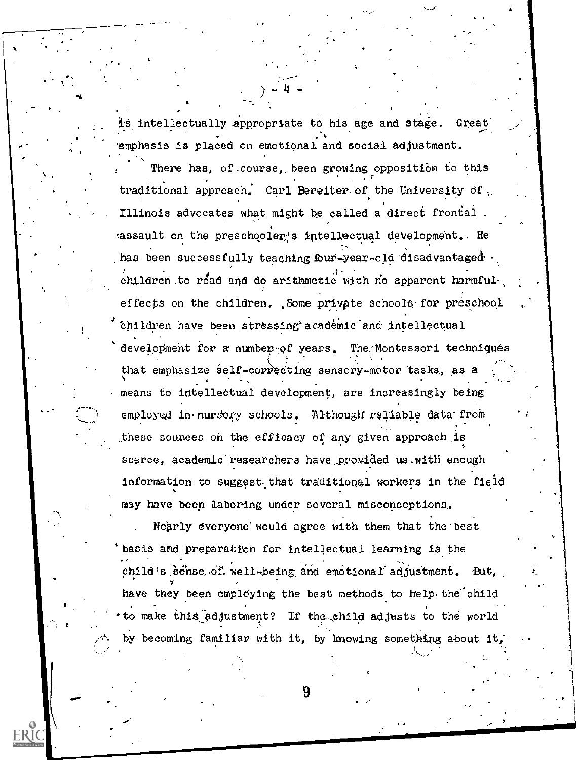is intellectually appropriate to his age and stage. Great  $\sim$ emphasis is placed on emotional and social adjustment.

There has, of course, been growing opposition to this . r traditional approach. Carl Bereiter of the University of  $\mathcal{C}$ Illinois advocates what might he called a direct frontal . assault on the preschooler's intellectual development. He has been successfully teaching four-year-old disadvantaged  $\cdot$ children to read and do arithmetic with no apparent harmfuleffects on the children. Some private schoole for preschool thildren have been stressing academic and intellectual development for a number of years. The Montessori techniques that emphasize self-correcting sensory-motor tasks, as a ti s means to intellectual development, are increasingly being employed in nurscry schools. Although reliable data from . these sources on the efficacy of any given approach is. scarce, academic researchers have\_provided us.with enough information to suggest that traditional workers in the field may have been laboring under several misconceptions,

Nearly everyone would agree with them that the best 'basis and preparation for intellectual learning is the child's sense of well-being and emotional adjustment. But, have they been employing the best methods to help, the child to make this adjustment? If the child adjusts to the world by becoming familiar with it, by knowing something about it,

:

1.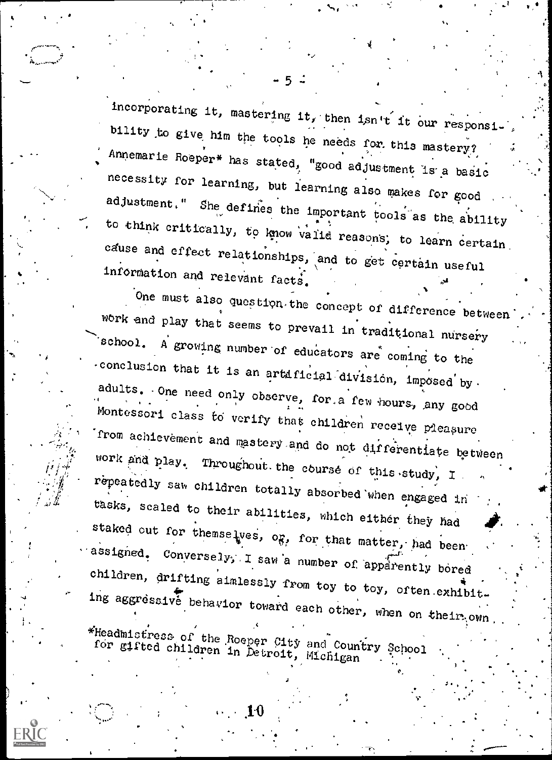incorporating it, mastering it, then isn't it our responsi-<br>bility to give him the tools he needs for this mastery?<br>Annemarie Roeper\* has stated, "good adjustment is a basic<br>necessity for learning, but learning also makes cause and effect relationships, and to get certain useful  $\cdot$ 

 $-5$   $-$ 

. المستخرج $\mathcal{C}$ 

it is a strong of

a

a

information and relevant facts.  $\frac{1}{2}$  one must also question the concept of difference between work and play that seems to prevail in traditional nursery<br>school. A growing number of educators are coming to the<br>conclusion that it is an artificial division, imposed by adults. One need only observe, for a few hours, any good Montessori class to verify that children receive pleasure receive pleasure and all receive pleasure from achievement and mastery and do not differentiate between work and play. Throughout. the course of this study, I work and play. Throughout the course of this study, I repeatedly saw children totally absorbed when engaged in tasks, scaled to their abilities, which either they had staked out for themselves, og, for that matter, had been assigned. Conversely, I saw a number of apparently bored assigned. Conversely, I saw a number of apparently bored children, drifting aimlessly from toy to toy, often exhibit. ing aggressive behavior toward each other, when on their own .

The admistress of the Roeper City and Country School for gifted children in Detroit, Michigan '

s 'n begin in de begin de begin de begin de begin de begin de begin de begin de begin de begin de begin de beg<br>De begin de begin de begin de begin de begin de begin de begin de begin de begin de begin de begin de begin de

 $10^{-10}$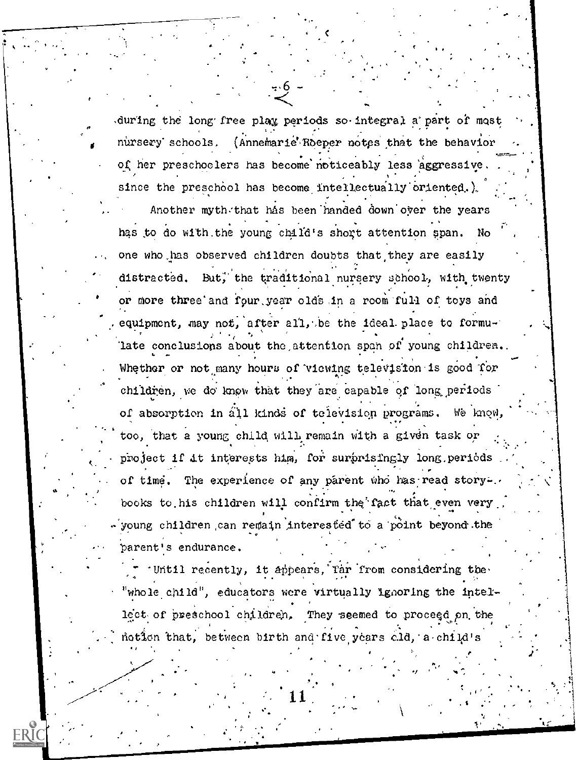during the long free play periods so integral a part of most nursery schools. (Annemarie Roeper notes that the behavior of her preschoolers has become noticeably less aggressive. since the preschool has become intellectually oriented.) Another myth that has been handed down over the years has to do with the young child's short attention span. No one who has observed children doubts that they are easily distracted. But, the traditional nursery school, with twenty or more three and rour year olds in a room full of toys and equipment, may not, after all, be the ideal place to formulate conclusions about the attention span of young children. Whether or not many hours of viewing television is good for children, we do know that they are capable of long periods of absorption in all kinds of television programs. We know too, that a young child will remain with a given task or project if it interests him, for surprisingly long periods of time. The experience of any parent who has read story-. books to his children will confirm the fact that even very young children can remain interested to a point beyond the parent's endurance.

Until recently, it appears, far from considering the "whole child", educators were virtually ignoring the intellect of preschool children. They seemed to proceed on the notion that, between birth and five years ald, a child's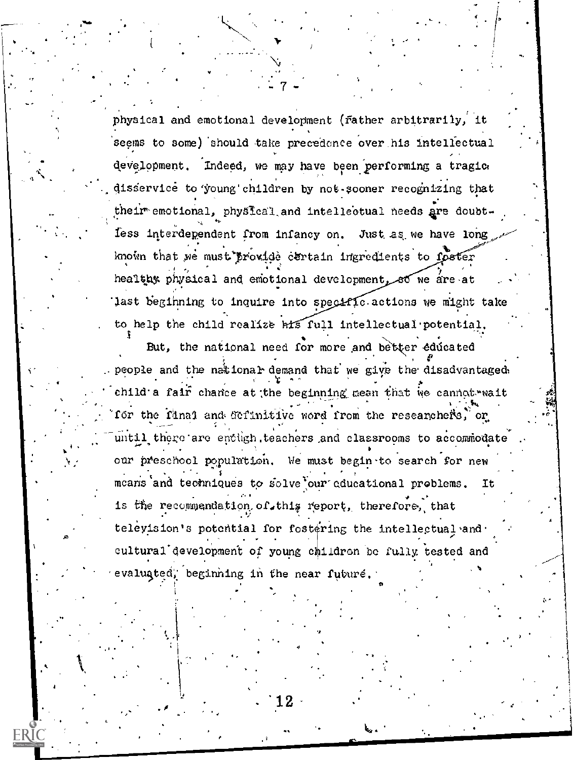physical and emotional development (rather arbitrarily, it seems to some) should take precedence over his intellectual development. Indeed, we may have been performing a tragic. disservice to young children by not sooner recognizing that their emotional, physical and intellectual needs are doubtless interdependent from infancy on. Just as we have long known that we must provide certain ingredients to foster healthy physical and emotional development, so we are at last beginning to inquire into specific actions we might take to help the child realize hts full intellectual potential.

But, the national need for more and better educated people and the national demand that we give the disadvantaged. child a fair chance at the beginning mean that we cannot wait for the final and definitive word from the researchers, or until there are enough teachers and classrooms to accommodate our preschool population. We must begin to search for new means and techniques to solve our educational problems. Ιt is the recommendation of this report, therefore, that teleyision's potential for fostering the intellectual and cultural development of young children be fully tested and valuated, beginning in the near future.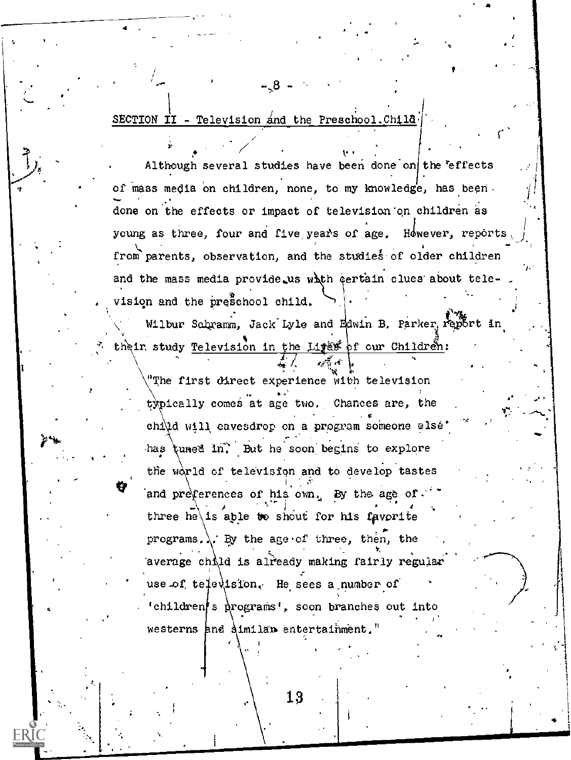SECTION II - Television and the Preschool. Child

Although several studies have been done on the effects of mass media on children, none, to my knowledge, has been. done on the effects or impact of television on children as young as three, four and five years of age. However, reports from parents, observation, and the studies of older children and the mass media provide us with certain clues about television and the preschool child.

Wilbur Schramm, Jack Lyle and Edwin B. Parker report in their study Television in the Liges of our Children:

"The first carect experience with television" typically comes at age two. Chances are, the child will eavesdrop on a program someone else has tuned in. But he soon begins to explore the world of television and to develop tastes and preferences of his own. By the age of." three he is able to shout for his favorite programs.  $\lambda$ . By the age of three, then, the average child is already making fairly regular use of television. He sees a number of 'children's programs', soon branches out into westerns and aimilar entertainment."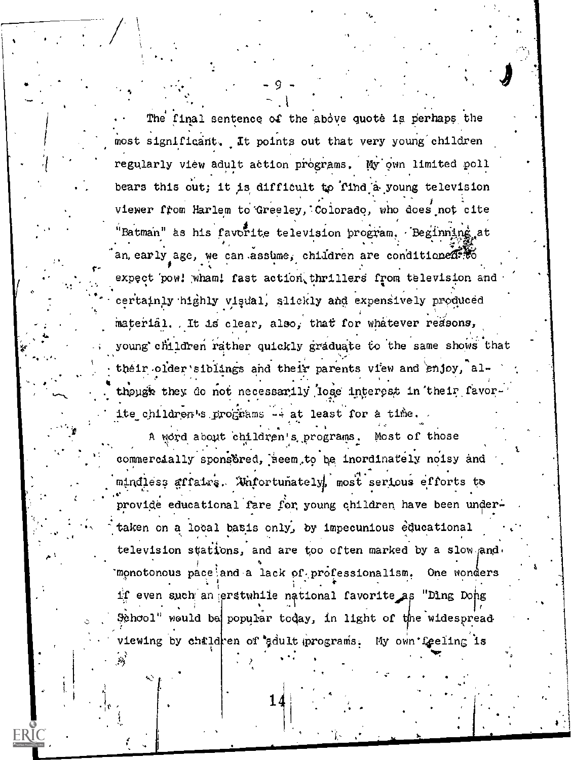The final sentence of the above quote is perhaps the most significant. It points out that very young children regularly view adult action programs. My own limited poll bears this out; it is difficult to find a young television viewer from Harlem to Greeley, Colorado, who does not cite "Batman" as his favorite television program. Beginning at an early age, we can assume, children are conditioned. Wo expect pow! wham! fast action thrillers from television and certainly highly visual, slickly and expensively produced material. It is clear, also, that for whatever reasons, young children rather quickly graduate to the same shows that their older siblings and their parents view and enjoy, although they do not necessarily lose interest in their favorite children's prognams -- at least for a time.

A word about children's programs. Most of those commercially sponsored, seem to be inordinately noisy and mindless affairs. Whfortunately, most serious efforts to provide educational fare for young children have been undertaken on a local basis only, by impecunious educational television stations, and are too often marked by a slow and. monotonous pace and a lack of professionalism. One wonders if even such an erstwhile national favorite as "Ding Dong School" would be popular today, in light of the widespread tewing by children of adult programs. My own feeling is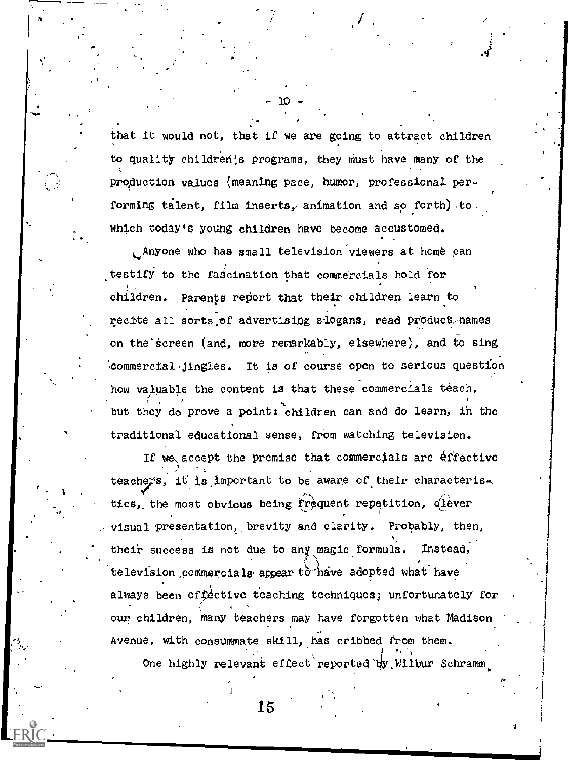that it would not, that if we are going to attract children to quality children's programs, they must have many of the prqduction values (meaning pace, humor, professional performing talent, film inserts, animation and so forth) to which today's young children have become accustomed.

 $-10 -$ 

Anyone who has small television viewers at home can testify to the fascination that commercials hold for children. Parents report that their children learn to recite all sorts of advertising slogans, read product-names on the screen (and, more remarkably, elsewhere), and to sing .00mmercial%jingles. It is of course open to serious question how valuable the content is that these commercials teach, but they do prove a point; children can and do learn, in the traditional educational sense, from watching television.

If we accept the premise that commercials are effective teachers, it is important to be aware of their characteris-. Ne tics, the most obvious being frequent repetition, qlever visual presentation, brevity and clarity. Probably, then, their success is not due to any magic formula. Instead, television commercials appear to have adopted what have always been effective teaching techniques; unfortunately for our children, many teachers may have forgotten what Madison . Avenue, with consummate skill, has cribbed from them. One highly relevant effect reported by Wilbur Schramm

1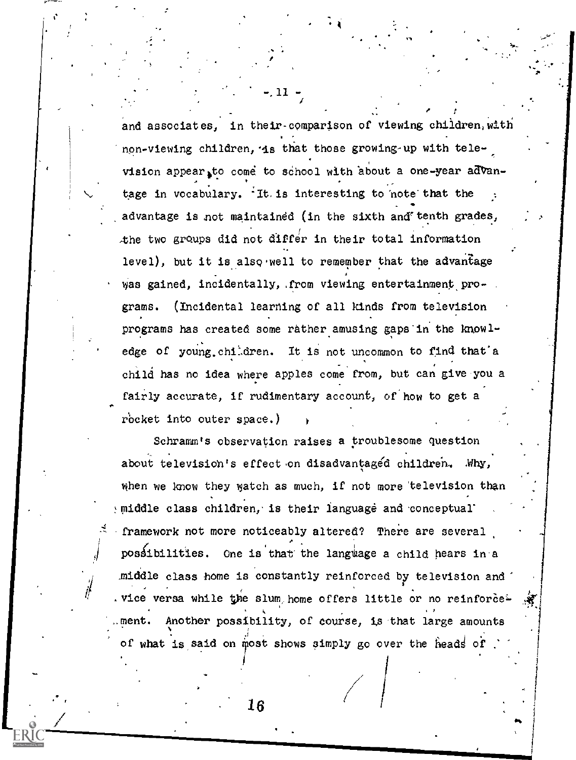and associates, in their-comparison of viewing children, with . non-viewing children, is that those growing-up with television appear to come to school with about a one-year advantage in vocabulary.  $\cdot$  It. is interesting to note that the advantage is not maintained (in the sixth and tenth grades, the two groups did not differ in their total information level), but it is also well to remember that the advantage was gained, incidentally, from viewing entertainment programs. (Incidental learning of all kinds from television programs has created some rather amusing gaps'in the know ledge of young children. It is not uncommon to find that a child has no idea where apples come from, but can give.you a fairly accurate, if rudimentary account, of'how to get a rocket into outer space.)

 $\blacksquare$ 

f

1

i

1

. In the contract of the second second in the second second second in the second second second in the second second second second second second second second second second second second second second second second second sec

.

 $\left[\begin{array}{ccc} 1 & 1 & 1 & 1 \\ 1 & 1 & 1 & 1 \\ 1 & 1 & 1 & 1 \end{array}\right]$ 

Schramm's observation raises a troublesome question about television's effect on disadvantaged children. . Why, when we know they watch as much, if not more television than middle class children, is their language and conceptual' .framework not more noticeably altered? There are several  $\sim$  possibilities. One is that the language a child hears in a \_middle class home is constantly reinforced by television and' wice versa while the slum, home offers little or no reinforce ment. Another possibility, of course, is that large amounts  $J_{\rm 1.1}$  . The set of  $\sim$  1.1  $\sim$  1.1  $\sim$  1.1  $\sim$  1.1  $\sim$  1.1  $\sim$  1.1  $\sim$  1.1  $\sim$  1.1  $\sim$  1.1  $\sim$  1.1  $\sim$  1.1  $\sim$  1.1  $\sim$  1.1  $\sim$  1.1  $\sim$  1.1  $\sim$  1.1  $\sim$  1.1  $\sim$  1.1  $\sim$  1.1  $\sim$  1.1  $\sim$  1.1  $\sim$  1. of what is said on most shows simply go over the heads of  $\cdot$  1

16

..

. ,

 $\cdot$  /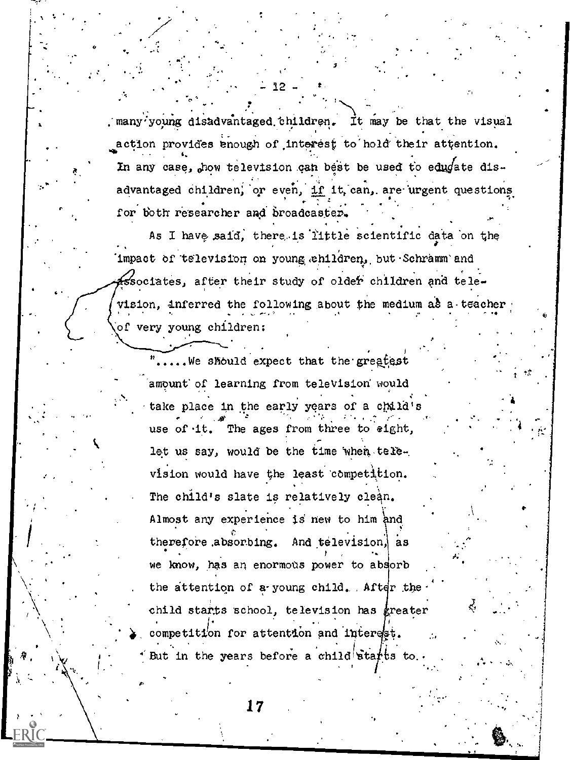. many young disadvantaged children. It may be that the visual action provides enough of interest to hold their attention. In any case, how television can best be used to educate disadvantaged children, or even, if it, can, are urgent questions for both researcher and broadcaster.

As I have said, there is little scientific data on the Impact of television on young ehildren, but Schramm'and associates, after their study of older children and television, inferred the following about the medium as a teacher of very young children:

".....We should expect that the greatest amount of learning from television would take place in the early years of a child's use of it. The ages from three to eight, let us say, would be the time when television would have the least competition. The child's slate is relatively clean. Almost any experience is new to him and therefore absorbing. And television, as we know, has an enormous power to absorb the attention of a young child. After the child starts school, television has greater competition for attention and interest. But in the years before a child starts to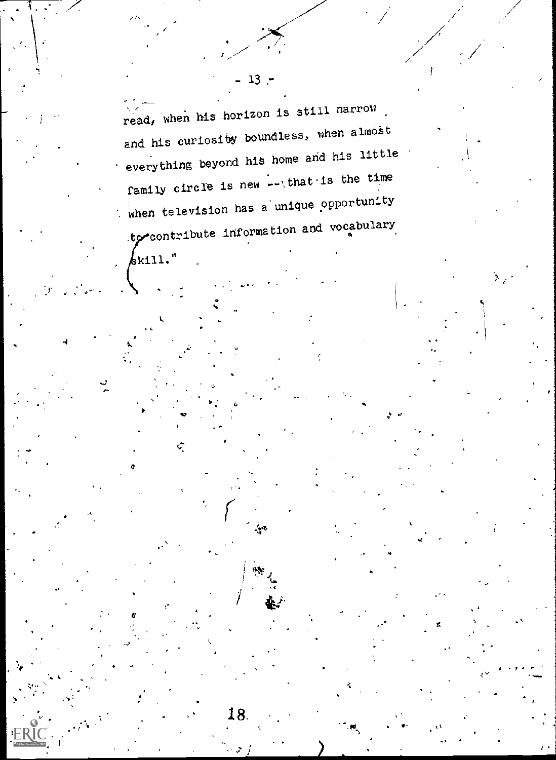read, when his horizon is still narrow. and his curiosity boundless, when almost everything beyond his home and his little family circle is new -- that is the time when television has a unique opportunity to contribute information and vocabulary

 $\sim$ 

18.

 $\frac{1}{6}$ kill."

୍

 $13:$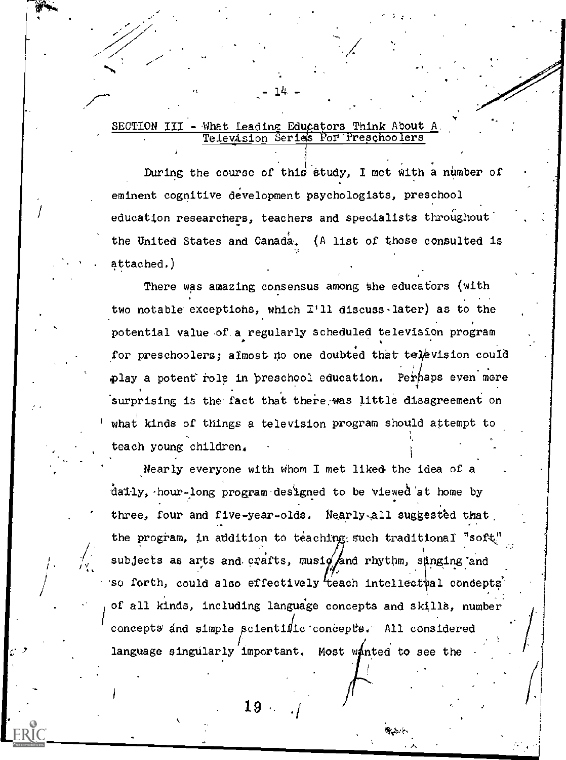# SECTION III - What Leading Educators Think About A<br>Television Series For Preschoolers

14.

During the course of this study, I met with a number of eminent cognitive development psychologists, preschool education researchers, teachers and specialists throughout the United States and Canada. (A list of those consulted is attached.)

There was amazing consensus among the educators (with two notable exceptions, which I'll discuss later) as to the potential value of a regularly scheduled television program for preschoolers; almost no one doubted that television could play a potent role in preschool education. Perhaps even more surprising is the fact that there was little disagreement on what kinds of things a television program should attempt to teach young children.

Nearly everyone with whom I met liked the idea of a daily, hour-long program designed to be viewed at home by three, four and five-year-olds. Nearly-all suggested that the program, in addition to teaching such traditional "soft" subjects as arts and crafts, musiq and rhythm, singing and 'so forth, could also effectively teach intellectual concepts' of all kinds, including language concepts and skills, number concepts and simple scientific concepts. All considered language singularly important. Most wanted to see the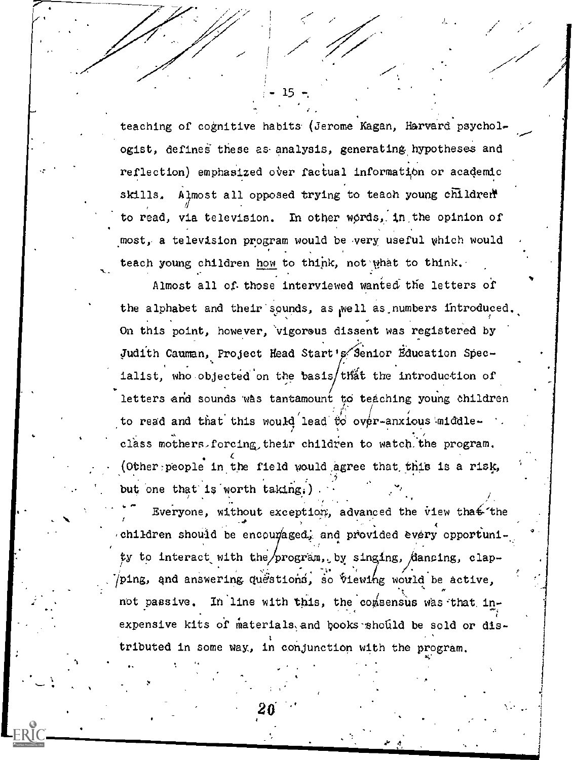teaching of cognitive habits (Jerome Kagan, Harvard psychologist, defines these as analysis, generating hypotheses and reflection) emphasized over factual information or academic Almost all opposed trying to teach young children skills. In other words, in the opinion of to read, via television. most, a television program would be very useful which would teach young children how to think, not what to think.

-15

Almost all of those interviewed wanted the letters of the alphabet and their sounds, as well as numbers introduced. On this point, however, vigorous dissent was registered by Judith Cauman, Project Head Start's Senior Education Specialist, who objected on the basis/that the introduction of letters and sounds was tantamount to teaching young children to read and that this would lead to over-anxious middleclass mothers, forcing their children to watch the program. (Other people in the field would agree that this is a risk, but one that is worth taking.)

Everyone, without exception, advanced the view that the children should be encoumaged, and provided every opportunity to interact with the/program, by singing, dancing, clapping, and answering questions, so viewing would be active. not passive. In line with this, the comsensus was that inexpensive kits of materials and books should be sold or distributed in some way, in conjunction with the program.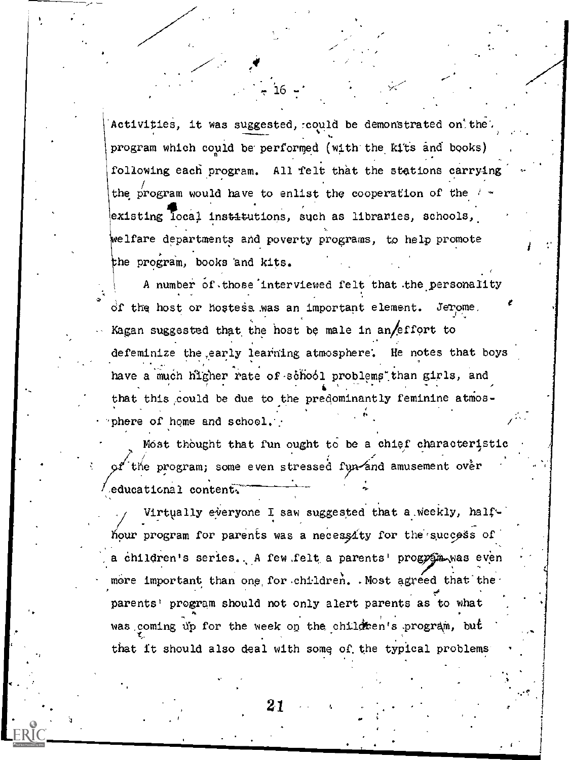Activities, it was suggested, could be demonstrated on the program which could be performed (with the kits and books) following each program. All felt that the stations carrying the program would have to enlist the cooperation of the existing local institutions, such as libraries, schools, welfare departments and poverty programs, to help promote the program, books and kits.

A number of those interviewed felt that the personality of the host or hostess was an important element. Jerome, Kagan suggested that the host be male in an/effort to defeminize the early learning atmosphere. He notes that boys have a much higher rate of school problems than girls, and that this could be due to the predominantly feminine atmosphere of home and school.

Most thought that fun ought to be a chief characteristic the program; some even stressed fun and amusement over  $\sqrt{2}$ educational content.

Virtually everyone I saw suggested that a weekly, halfhour program for parents was a necessity for the success of a children's series. A few felt a parents' program was even more important than one for children. Most agreed that the parents' program should not only alert parents as to what was coming up for the week on the children's program, but that it should also deal with some of the typical problems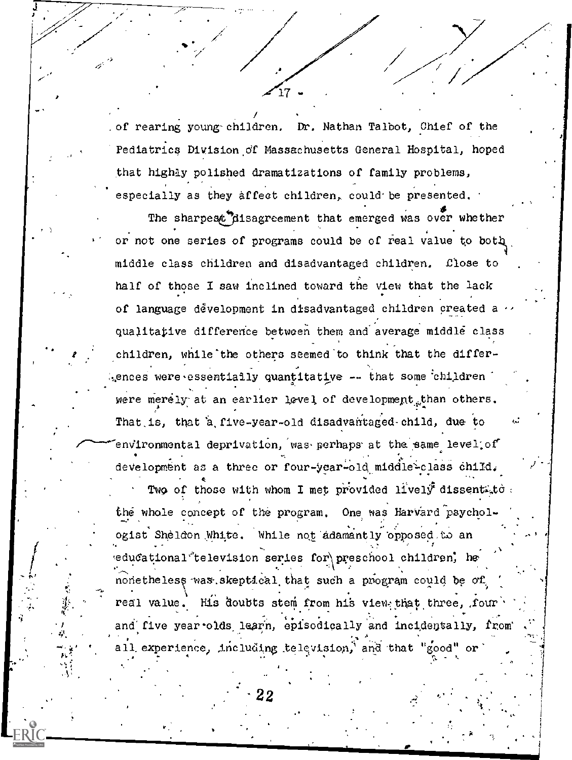/ of rearing young children,  $\bm{\mathrm{Dr.}}$  Nathan Talbot, Chief of the  $\qquad \qquad$ Pediatrics Division of Massachusetts General Hospital, hoped that highly polished dramatizations of family problems, , . especially as they affect children, could be presented.

The sharpest disagreement that emerged was over whether or not one series of programs could be of real value to bott middle class children and disadvantaged children, £lose to half of those I saw inclined toward the view that the lack of language ddvelopment in disadvantaged children created a qualitative difference between them and average middle class children, while the others seemed to think that the differences were,essentiaily quantitative  $-$  that some children were merely at an earlier level of development than others. That.is, that 'a,five-year-old disadvantaged-child, due to environmental deprivation, was perhaps at the same level; of development as a three or four-year-old middle-class child. Two of those with whom I met provided lively dissent to: the whole concept of the program. One was Harvard psychologist Sheldon White. While not adamantly opposed to an and the south of the state of the state of the state of the state of the state of the state of the state of the state of the state of the state of the state of the sta edu $\texttt{cational}$  television series for\preschool children, he : *.*. , . nonetheless was skeptical that such a program could be of fying the state of real value. His doubts stem from his view that three, four . and five year olds learn, episodically and incidentally, from ." all experience, including television, and that "good" or . As a set of the set of the set of the set of the set of the set of the set of the set of the set of the set of the set of the set of the set of the set of the set of the set of the set of the set of the set of the set o

20 PM

22

,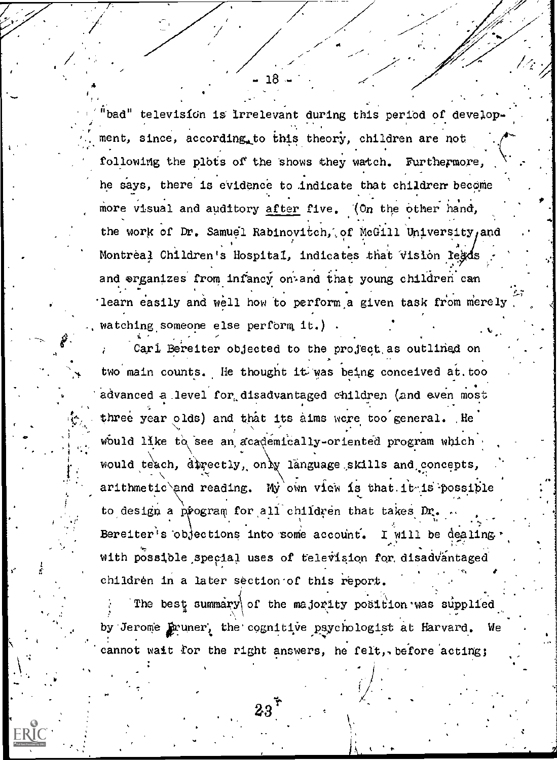bad" television is irrelevant during this period of develop. . ment, since, according. to this theory, children are not following the plots of the shows they watch. Furthermore, he says, there is evidence to indicate that children become more visual and auditory after five. (On the other hand, the work of Dr. Samuel Rabinovitch, of McGill University, and  $\cdots$ . \$ . Montreal Children's Hospital, indicates that Vision legds , , .1 and organizes from infancy on and that young children can learn easily and well how to perform a given task from merely.  $\Box$   $\Box$ watching someone else perform it.) . . . . . . **.** . So the set of  $\mathcal{S}$ 

Carl Bereiter objected to the project as outlined on two main counts. He thought it was being conceived at, too advanced a level for disadvantaged children (and even most three year olds) and that its aims were too general. He would like to see an academically-oriented program which would teach, directly, only language skills and concepts, , . . arithmetic and reading. My own view is that it is possible , and the set of the set of the set of the set of the set of the set of the set of the set of the set of the set of the set of the set of the set of the set of the set of the set of the set of the set of the set of the se 8 to design a program for all children that takes Dr.  $\mathbf{r} = \mathbf{r} \cdot \mathbf{r}$  . The set of the set of the set of the set of the set of the set of the set of the set of the set of the set of the set of the set of the set of the set of the set of the set of the set of the set , and the set of the set of the set of the set of the set of the set of the set of the set of the set of the set of the set of the set of the set of the set of the set of the set of the set of the set of the set of the se Bereiter's objections into some account. I will be dealing  $\cdot$ with possible special uses of television for disadvantaged children in a later section of this report.

 $\mathbf{1}$ 

I

 $\sim$   $\sim$ 

The best summary of the majority position was supplied . All the set of  $\mathbb{A}$  is the set of  $\mathbb{A}$  is the set of  $\mathbb{A}$  $\mathcal{L}(\mathcal{A})$ by Jerome funner, the cognitive psychologist at Harvard. We cannot wait for the right answers, he felt, before acting;

.  $23$  . The  $\sim$ 

. .

,  $\sim$  in the set

ik termine

. y . .

1

.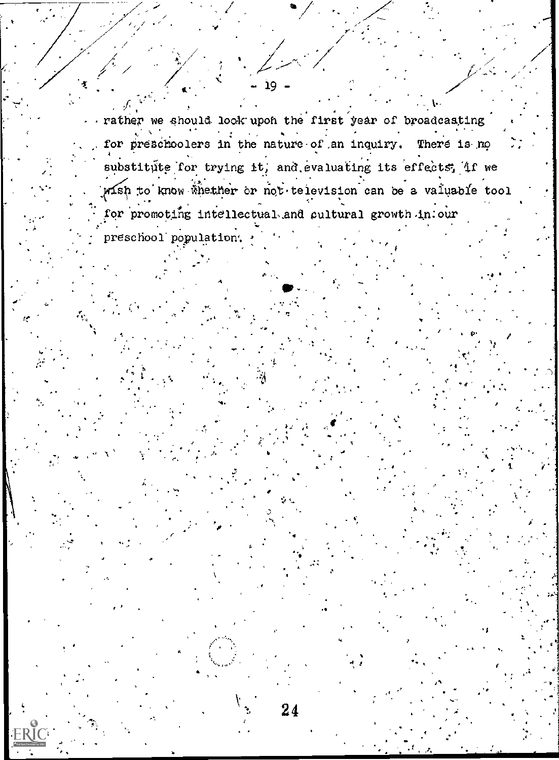rather we should look upon the first year of broadcasting for preschoolers in the nature of an inquiry. There is no substitute for trying it, and evaluating its effects, if we wish to know whether or not television can be a valuable tool for promoting intellectual and cultural growth in our

ּפּב

preschool population.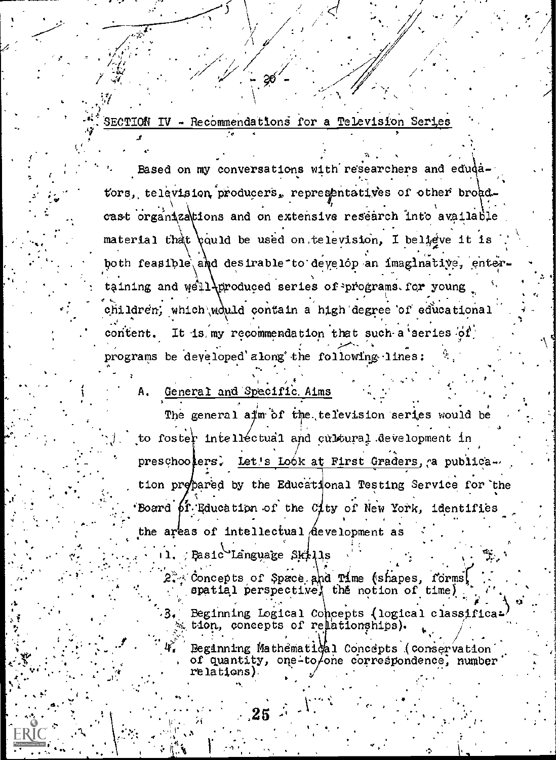SECTION IV - Recommendations for a Television Series

-20

Based on my conversations with researchers and edudators, television producers, representatives of other broad. cast organizations and on extensive research into available material that could be used on television. I believe it is both feasible and desirable to develop an imaginative, enter taining and well *airoduced* series of programs for young children; which would contain a high degree of educational content. It is my recommendation that such a series of programs be developed along the following lines:

### General and Specific Aims

The general aim of the television series would be to foster intellectual and cultural development in preschoolers. Let's Look at First Graders, a publication prepared by the Educational Testing Service for the Board of Education of the City of New York, identifies the areas of intellectual development as

Basic Language Skills

Concepts of Space and Time (shapes, forms) spatial perspective, the notion of time Beginning Logical Concepts (logical classification, concepts of relationships).

Beginning Mathématiqal Concepts (conservation of quantity, one-to/one correspondence, number relations)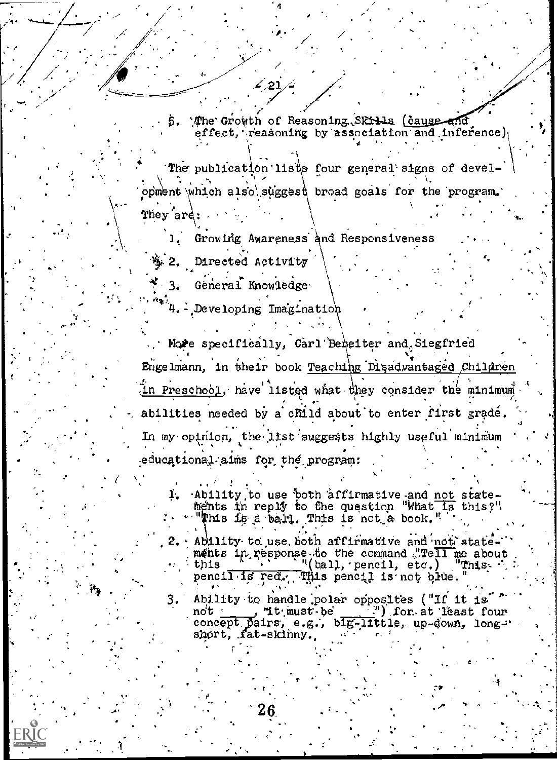5. The Growth of Reasoning SRILLs (cause and effect, reasoning by association and inference),

The publication lists four general signs of development which also suggest broad goals for the program. They ard:

Growing Awareness and Responsiveness ı.

激 2. Directed Activity

Géneral Knowledge  $\cdot$  3.

\*\*\*4. - Developing Imagination

∠′21

More specifically, Carl'Beneiter and Siegfried Engelmann, in their book Teaching Disadvantaged Children In Preschool, have listed what they consider the minimum abilities needed by a child about to enter first grade. In my opinion, the list suggests highly useful minimum educational aims for the program:

Ability to use both affirmative and not stateľ. ments in reply to the question "What is this?". "This is a ball. This is not a book."

Ability to use both affirmative and not state. ments in response to the command "Tell me about<br>this \_\_\_\_\_\_\_\_\_"(ball, pencil, etc.) "This. pencil is red. This pencil is not blue.

Ability to handle polar opposites ("If it is" 3.  $f(x, y)$  for at least four "it must be concept pairs, e.g., blg-little, up-down, longshort, fat-skinny.

**FRIC**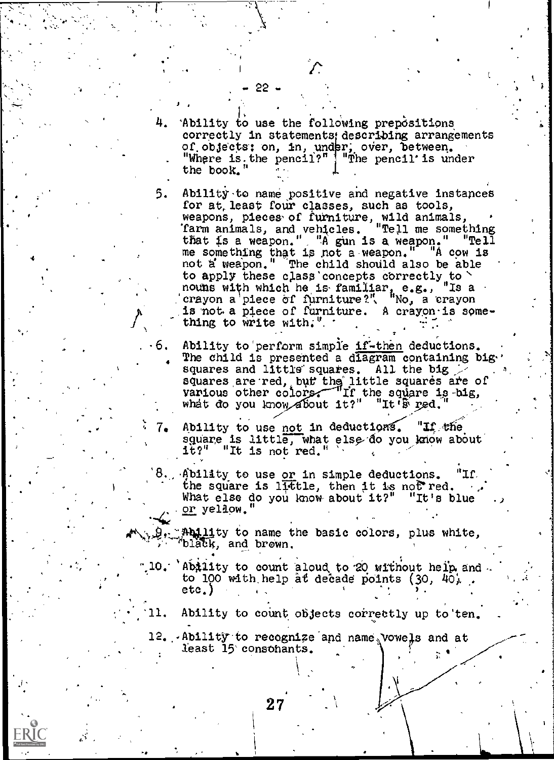Ability to use the following prepositions correctly in statements; describing arrangements of objects: on, in, under, over, between. "Where is<sub>t</sub>the pencil?" | "The pencil' is under the book."

╱

1.

- 5. Ability to name positive and negative instances for at, least four classes, such as tools, weapons, pieces,of furniture, wild animals, 'farm animals, and vehicles. "Tell me something 'farm animals, and vehicles. "Tell me something<br>that is a weapon." "A gun is a weapon." "Tell me something that is not a weapon." "A cow is not a weapon." The child should also be able to apply these class concepts correctly to  $\sim$ noums with which he is familiar, e.g., "Is a crayon a piece of furniture?", "No, a crayon is not a piece of furniture. A crayon is something to write with:  $"$ . eo, . <sup>4</sup>
- 6. Ability to perform simple if-then deductions. The child is presented a diagram containing bigsquares and little squares. All the big  $>$ squares are red, but the little squares are of various other colors. If the square is big, what do you know about  $1t$ ?" "It's red.
- , and the contribution of the contribution of  $\mathcal{L}_\text{max}$  $\ldots$  4  $7.4$  Ability to use <u>not</u> in deductions. "If the square is little, what else do you know about the square is a it?" "It is not red."  $\sim$   $\sim$ 
	- 8. Ability to use or in simple deductions. "If the square is little, then it is not red.<br>What else do you know about it?" "It's blue What else do you know about it?" or yellow."
	- $p_{\text{e}}$  and ity to name the basic colors, plus white, and brown.
		- .10. Ability to count aloud to 20 without heip and to 100 with help at decade points  $(30, 40)$ .  $etc.$ )
		- 11. Ability to count objects correctly up to ten.

12. Ability to recognize and name vowels and at least 15' consohants.

22 -

1,

-

video de

4

. I

 $\overline{\mathfrak{m}}$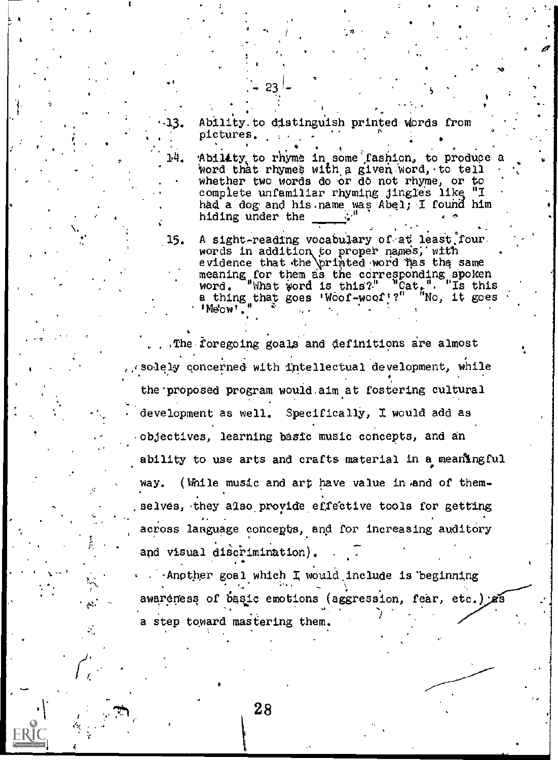Ability to distinguish printed words from pictures.

23.

14.

Ability to rhyme in some fashion, to produce a word that rhymes with a given word, to tell whether two words do or do not rhyme, or to complete unfamiliar rhyming jingles like "I had a dog and his name was Abel; I found him hiding under the

 $15.$ A sight-reading vocabulary of at least four. words in addition to proper names, with evidence that the printed word has the same<br>meaning for them as the corresponding spoken<br>word. "What word is this?" "Cat,". "Is this  $\sqrt[n]{n}$ No, it goes a thing that goes 'Woof-woof'?" 'Me'ow'.

The foregoing goals and definitions are almost. solely concerned with intellectual development, while the proposed program would aim at fostering cultural development as well. Specifically, I would add as objectives, learning basic music concepts, and an ability to use arts and crafts material in a meaningful (While music and art have value in and of themway. selves, they also provide effective tools for getting across language concepts, and for increasing auditory and visual discrimination).

Another goal which I would include is beginning awaremess of basic emotions (aggression, fear, etc.) as a step toward mastering them.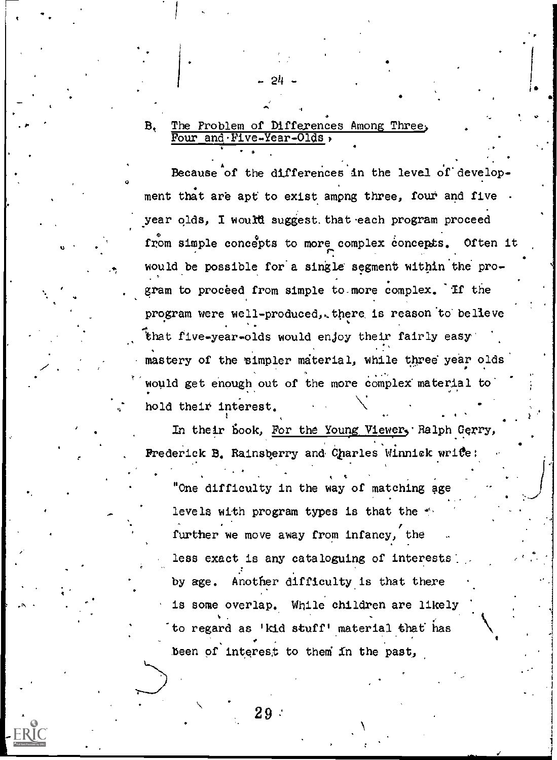#### The Problem of Differences Among Three,  $B_{\bullet}$ Four and Five-Year-Olds,

 $\cdot$  6  $\cdot$  6  $\cdot$  6  $\cdot$  6  $\cdot$  6  $\cdot$  6  $\cdot$  6  $\cdot$  6  $\cdot$  6  $\cdot$  6  $\cdot$  6  $\cdot$  6  $\cdot$  6  $\cdot$  6  $\cdot$  6  $\cdot$  6  $\cdot$  6  $\cdot$  6  $\cdot$  6  $\cdot$  6  $\cdot$  6  $\cdot$  6  $\cdot$  6  $\cdot$  6  $\cdot$  6  $\cdot$  6  $\cdot$  6  $\cdot$  6  $\cdot$  6  $\cdot$  6  $\cdot$  6  $\cdot$ 

-24 -

 $\vert \cdot \vert$ 

. A contract of the state

,N

Because of the differences in the level of develop- $\mathfrak o$  and  $\mathfrak o$ ment that are apt to exist among three, four and five year olds, I would suggest. that each program proceed from simple concepts to more complex concepts. Often it would be possible for a single segment within the pro-. gram to proceed from simple to more complex. If the program were well-produced, there is reason to believe .. that five-year-olds would enjoy their fairly easy' mastery of the simpler material, while three year olds ' would get enough out of the more complex material to  $\begin{bmatrix} \cdot & \cdot & \cdot \\ \cdot & \cdot & \cdot \\ \cdot & \cdot & \cdot \end{bmatrix}$ hold their interest.

In their book, For the Young Viewer, Ralph Gerry, Frederick B. Rainsberry and Charles Winnick write:

. <sup>4</sup>

tl

t "One difficulty in the way of matching age levels with program types is that the  $\gamma$ further we move away from infancy, the less exact is any cataloguing of interests by age. Another difficulty is that there is some overlap. While children are likely to regard as 'kid stuff' material that has  $\ddot{\phantom{a}}$ been of interest to them in the past,

 $29<sup>2</sup>$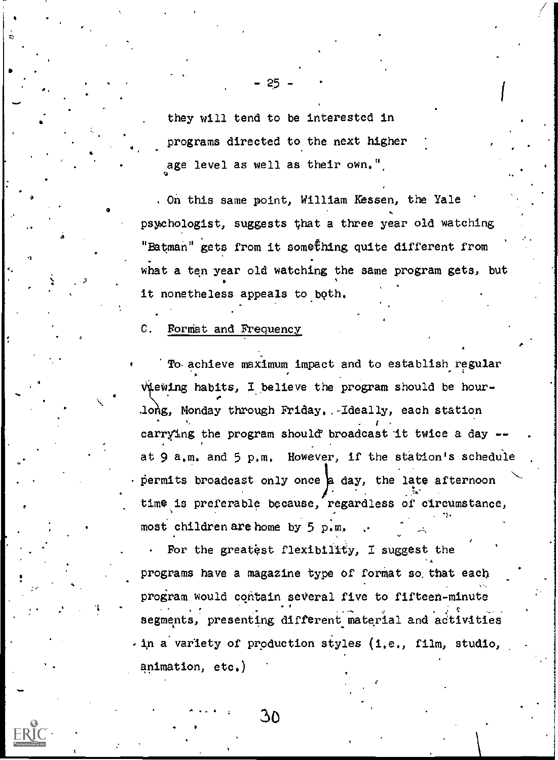they will tend to be interested in programs directed to the next higher age level as well as their own,"

 $- 25 - 7$ 

On this same point, William Hessen, the Yale psychologist, suggests ghat a three year old watching "Batman" gets from it something quite different from what a ten year old watching the same program gets, but it nonetheless appeals to both.

C. Format and Frequency

a

 $\bullet$  and  $\bullet$ 

o

A 'To. achieve maximum impact and to establish regular viewing habits, I believe the program should be hour- $\mathcal{L} = \{ \mathcal{L} \}$ long, Monday through Friday, .-Ideally, each station carrying the program should' broadcast 'it twice a day - at 9 a,m, and 5 p,m, However, if the station's schedu'le permits broadcast only once  $a$  day, the late afternoon time is preferable because, regardless of circumstance, most children are home by 5 p.m.

1 For the greatest flexibility, I suggest the programs have a magazine type of format so, that each program would contain several five to fifteen-minute segments, presenting different material and activities  $i$ , in a variety of production styles (i.e., film, studio, animation, etc.)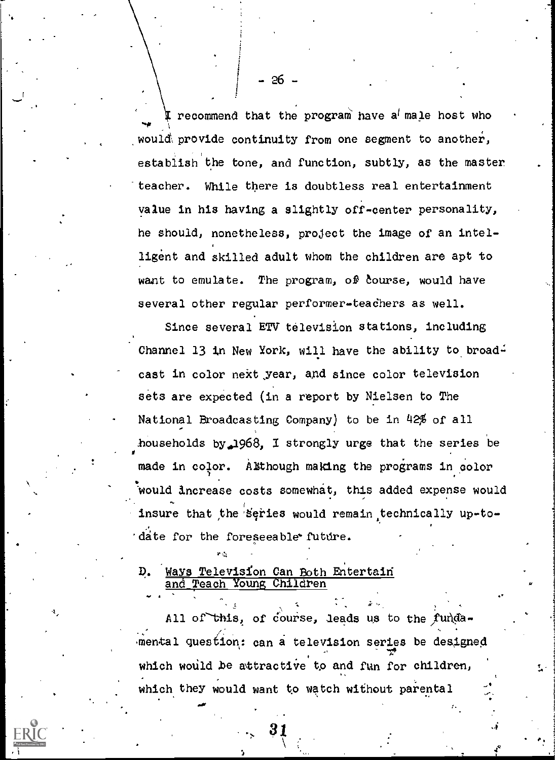$\rightarrow$   $\rightarrow$   $\rightarrow$ **I** recommend that the program have a male host who would provide continuity from one segment to another, establish the tone, and function, subtly, as the master teacher. While there is doubtless real entertainment value in his having a slightly off-center personality, he should, nonetheless, project the image of an intelligent and skilled adult whom the children are apt to want to emulate. The program, of course, would have several other regular performer-teachers as well.

Since several ETV television stations, including Channel 13 in New York, will have the ability to broadmade in color. Although making the programs in color cast in color next year, and since color television sets are expected (in a report by Nielsen to The National Broadcasting Company) to be in 42% of all households by  $1968$ , I strongly urge that the series be would increase costs somewhat, this added expense would insure that the series would remain technically up-to-'date for the foreseeable' future.

D. Ways Television Can Both Entertain and Teach Young Children

All of this, of course, leads us to the funda- $\blacksquare$  $\mathcal{L}^{\prime}$  , and the set of  $\mathcal{L}^{\prime}$  , and the set of  $\mathcal{L}^{\prime}$ .mental question,: can a television series be designed 1.1 and 1.1 and 1.1 and 1.1 and 1.1 and 1.1 and 1.1 and 1.1 and 1.1 and 1.1 and 1.1 and 1.1 and 1.1 and 1.1 and 1.1 and 1.1 and 1.1 and 1.1 and 1.1 and 1.1 and 1.1 and 1.1 and 1.1 and 1.1 and 1.1 and 1.1 and 1.1 and 1.1 an . which would be attractive to and fun for children, which they would want to watch without parental

31

-

jr

-26-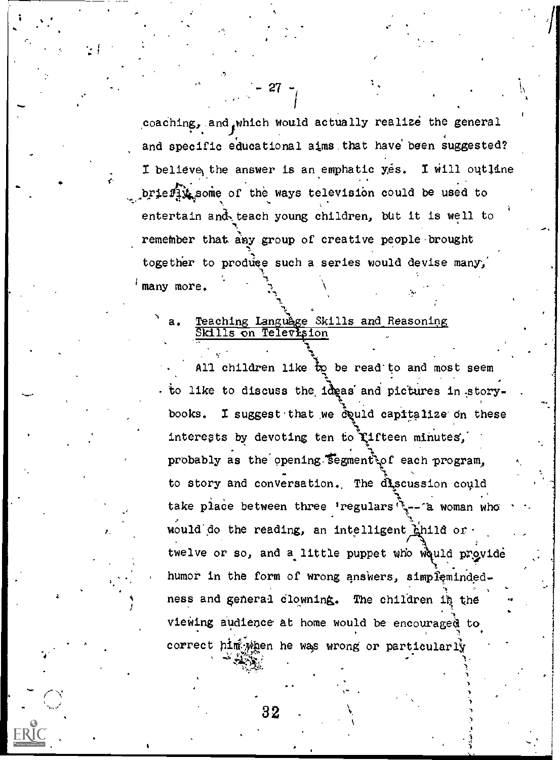coaching, and which would actually realize the general and specific educational aims,that have been suggested? I believe, the answer is an emphatic yes. I will outline brienit some of the ways television could be used to entertain and, teach young children, but it is well to remember that any group of creative people brought together to produce such a series would devise many, many more,

 $27 - 7$ 

### Teaching Language Skills and Reasoning Skills on Television

All children like to be read to and most seem to like to discuss the ideas and pictures in story. books. I suggest that we could cap interests by devoting ten to fifteen minutes, 1  $c$  and capitalize on these  $\begin{bmatrix} 1 & 0 \\ 0 & 1 \end{bmatrix}$ probably as the opening segment of each program, to story and conversation. The discussion could take place between three 'regulars' -- a woman who would do the reading, an intelligent hhild or twelve or so, and a little puppet who would provide humor in the form of wrong answers, simpleminded- $\mathbf{N}$ ness and general clowning. The children in the viewing audience at home would be encouraged to correct him when he was wrong or particularly

ti s

titi

 $32$ 

 $\mathcal{L} \subset \mathcal{L}$  . The set of  $\mathcal{L} \subset \mathcal{L}$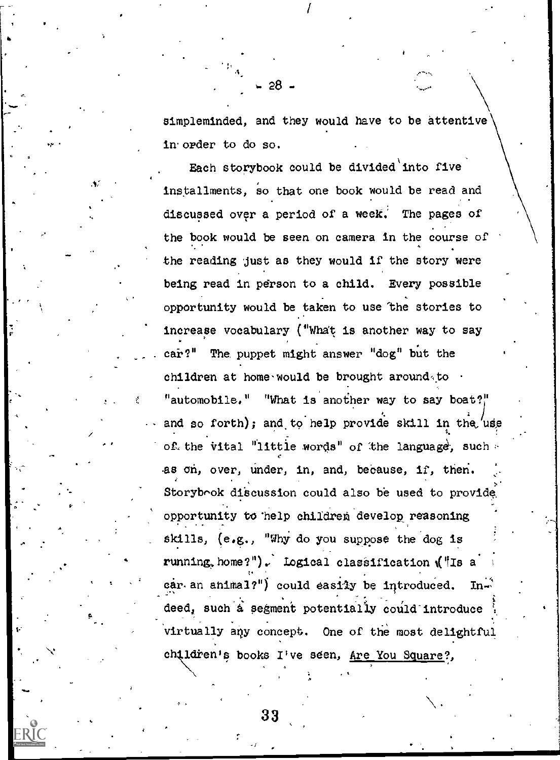simpleminded, and they would have to be attentive in. order to do so.

**I** and the second of the second of the second of the second of the second of the second of the second of the second of the second of the second of the second of the second of the second of the second of the second of the

- 28 -

Each storybook could be divided'into five installments, so that one book would be read and discussed over a period of a week. The pages of . the book would be seen on camera in the course of the reading just as they would if the story were being read in person to a child. Every possible opportunity would be taken to use the stories to increase vocabulary ("whet is another way to say car?" The puppet might answer "dog" but the children at home-would be brought around to  $\cdot$ "automobile." "What is another way to say boat?" and so forth); and to help provide skill in the use of, the vital "little words" of the language, such  $\sim$ as on, over, under, in, and, because, if, then. Storybook discussion could also be used to provide opportunity to help children develop reasoning Skills, (e.g., "Why do you suppose the dog is running, home?"), Logical classification ("Is a car an animal?") could easily be introduced. In-. The contract of the contract of the contract of the contract of the contract of the contract of the contract of the contract of the contract of the contract of the contract of the contract of the contract of the contrac deed, such a segment potentially could introduce virtually any concept. One of the most delightful ch į ldren's books I've seen, Are You Square?,

 $\frac{33}{2}$ 

 $FR$ IC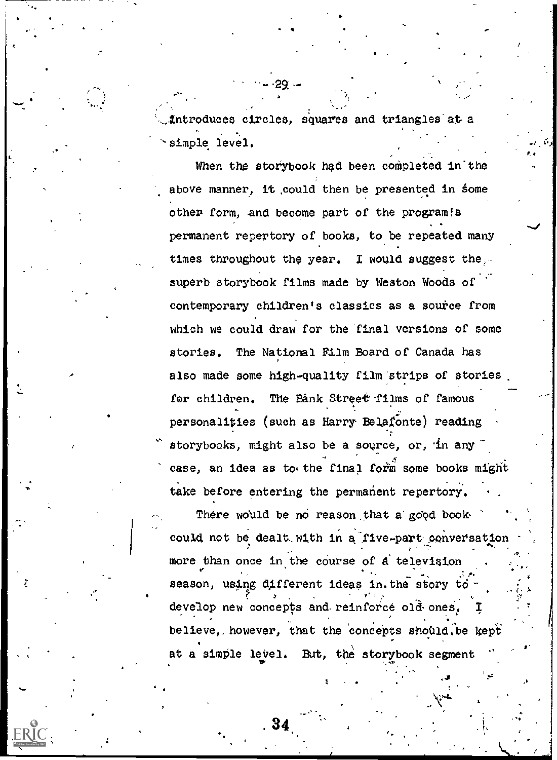,..Introduces circles, squares and triangles' at a simple level.

Fs

**C** 

When the storybook had been completed in the above manner, it could then be presented in some other form, and become part of the program!s permanent repertory of books, to be repeated many times throughout the year. I would suggest the, superb storybook films made by Weston Woods of contemporary children's classics as a source from which we could draw for the 'final versions of some stories. The National Film Board of Canada has also made some high-quality film strips of stories for children. The Bank Street films of famous personalities (such as Harry Belatonte) reading storybooks, might also be a source, or, in any case, an idea as to the final form some books might take before entering the permanent repertory.

There would be no reason that a good book. could not be dealt with in a five-part conversation more than once in the course of a television ... ... ...... . <sup>v</sup> season, using dAfferent ideas in. the story to . . . ., , ; 1. <sup>g</sup> develop new concepts and. reinforce 014 ones. I . believe, however, that the concepts should be kept at a simple level. But, the storybook segment .

. 34  $\sim$  ...

. .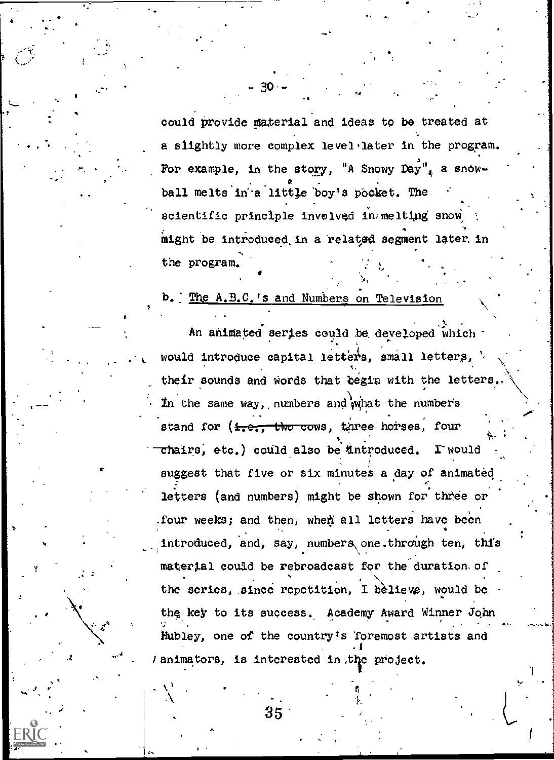could provide material and ideas to be treated at a slightly more complex level, later in the program.  $\delta_{\rm max}$  . The set of  $\delta_{\rm max}$ For example, in the story, "A Snowy  $\text{Day}$ ", a snow- $\mathbf{r} = \mathbf{r}$  and  $\mathbf{r} = \mathbf{r}$ ball melts in a little boy's pocket. The scientific principle invelved in:melting snow might be introduced in a related segment later in the program.

.

,

 $\sim$  1

Vo.

### The A.B.C.'s and Numbers on Television

 $30 -$ 

An animated series could be developed which would introduce capital letters, small letters,  $\mathcal{V}$ their sounds and words that begin with the letters. In the same way, numbers and what the numbers stand for (<del>1.e., the cows</del>, three horses, four IA"  $\texttt{chains, etc.}$  could also be introduced.  $\Gamma$  would suggest that five or six minutes a day of animated. . experimental and the control of the control of the control of the control of the control of the control of the control of the control of the control of the control of the control of the control of the control of the cont . letters (and numbers) might be shown for three or .four weeks; and then, when all letters have been introduced, and, say, numbers one.through ten, this material could be rebroadcast for the duration of the series, since repetition, I believe, would be the key to its success. Academy Award Winner John Hubley, one of the country's foremost artists and .1 / animators, is interested in the project.

> Richard Co r.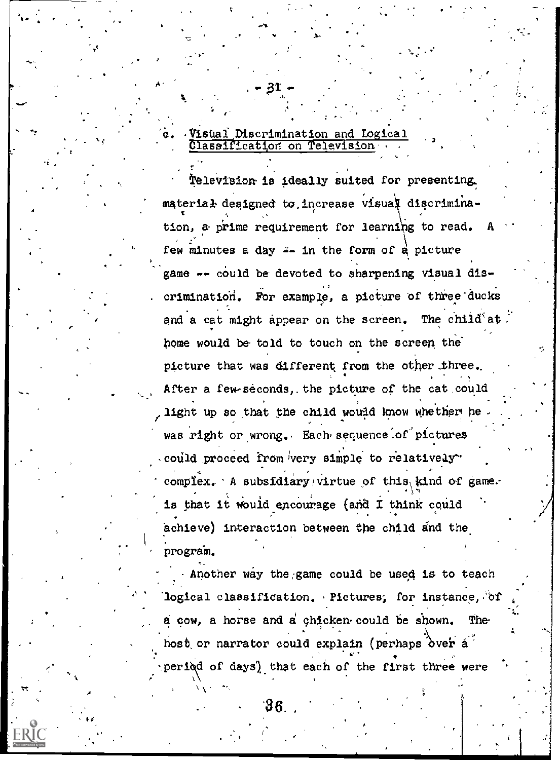. Visual Discrimination and Logical Classification on Television

 $\cdot$  t.e.

.

A

tele'vision.is ideally suited for presenting, material designed to increase visual discrimina-, where the contribution of  $\mathcal{N}$  ,  $\mathcal{N}$  $\mathbf{f}(\mathbf{f}) = \mathbf{f}(\mathbf{f}(\mathbf{f}))$ tion, a prime requirement for learning to read.  $A$ few minutes a day  $x = \ln$  the form of a picture game -- could be devoted to sharpening visual dis-  $\mathbf{r}$ ,  $\mathbf{r}$ ,  $\mathbf{r}$ ,  $\mathbf{r}$ ,  $\mathbf{r}$ ,  $\mathbf{r}$ ,  $\mathbf{r}$ ,  $\mathbf{r}$ ,  $\mathbf{r}$ ,  $\mathbf{r}$ ,  $\mathbf{r}$ ,  $\mathbf{r}$ ,  $\mathbf{r}$ ,  $\mathbf{r}$ ,  $\mathbf{r}$ ,  $\mathbf{r}$ ,  $\mathbf{r}$ ,  $\mathbf{r}$ ,  $\mathbf{r}$ ,  $\mathbf{r}$ ,  $\mathbf{r}$ ,  $\mathbf{r}$ , crimination. For example, a picture of three ducks and a cat might appear on the screen. The child at home would be told to touch on the screen the' picture that was different from the other three. After a few-seconds, the picture of the cat could light up so that the child would know whether he. was right or wrong. Each sequence of pictures could proceed from very simple to relatively"  $4$  I and  $4$  I and  $4$  and  $4$  and  $4$ complex. A subsidiary/virtue of this kind of game. . is that it would encourage (and I think could achieve) interaction between the child and the program.

Another way the;game could be used is to teach logical classification. Pictures, for instance, of  $\alpha$  cow, a horse and  $\alpha'$  chicken could be shown. The host or narrator could explain (perhaps òver à ' period of days) that each of the first three were

L.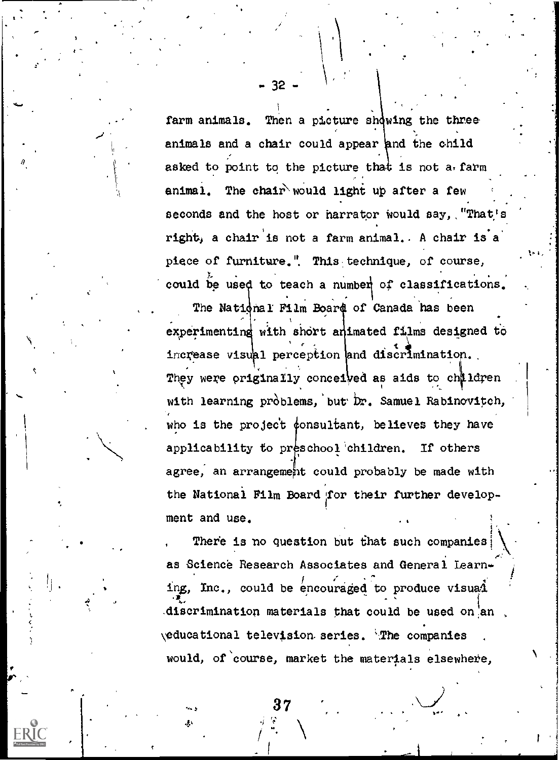farm animals. Then a picture showing the three animals and a chair could appear and the child asked to point to the picture that is not a farm The chair would light up after a few animal. seconds and the host or harrator would say, "That' right, a chair is not a farm animal. A chair is a piece of furniture." This technique, of course, could be used to teach a number of classifications. The National Film Board of Canada has been experimenting with short animated films designed to increase visual perception and discrimination. They were originally conceived as aids to children with learning problems, but Dr. Samuel Rabinovitch, who is the project consultant, believes they have applicability to preschool children. If others agree, an arrangement could probably be made with the National Film Board for their further development and use.

There is no question but that such companies: as Science Research Associates and General Learning, Inc., could be encouraged to produce visual discrimination materials that could be used on an veducational television series. The companies would, of course, market the materials elsewhere,

- 32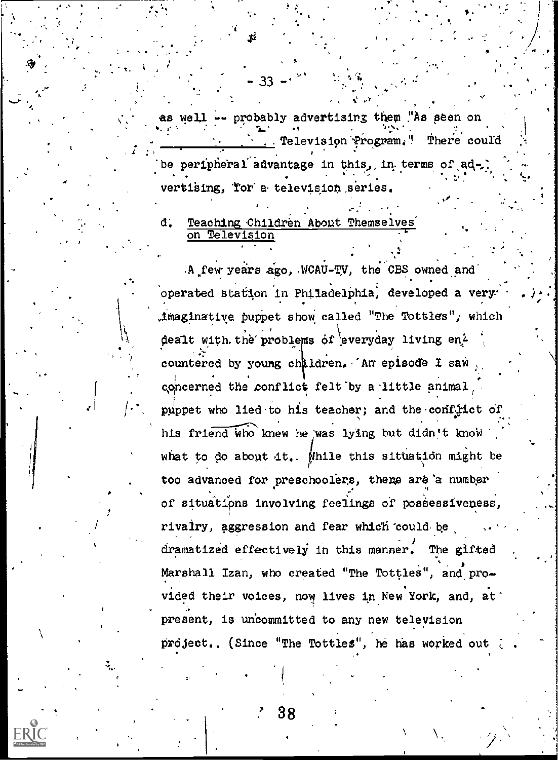- probably advertising them "As seen on as well -There could . Television Program," be peripheral advantage in this, in terms of ad vertising, Tor a television series.

#### đ. Teaching Children About Themselves Television on

A few years ago, WCAU-TV, the CBS owned and operated station in Philadelphia, developed a very' .imaginative puppet show called "The Tottles", which dealt with the problems of everyday living en<sup>2</sup> countered by young children. An episode I saw concerned the conflict felt by a little animal puppet who lied to his teacher; and the conflict of his friend who knew he was lying but didn't know what to do about it. Mhile this situation might be too advanced for preschoolers, there are a number of situations involving feelings of possessiveness, rivalry, aggression and fear which could be dramatized effectively in this manner. The gifted Marshall Izan, who created "The Tottles", and provided their voices, now lives in New York, and, at \* present, is uncommitted to any new television project.. (Since "The Tottles", he has worked out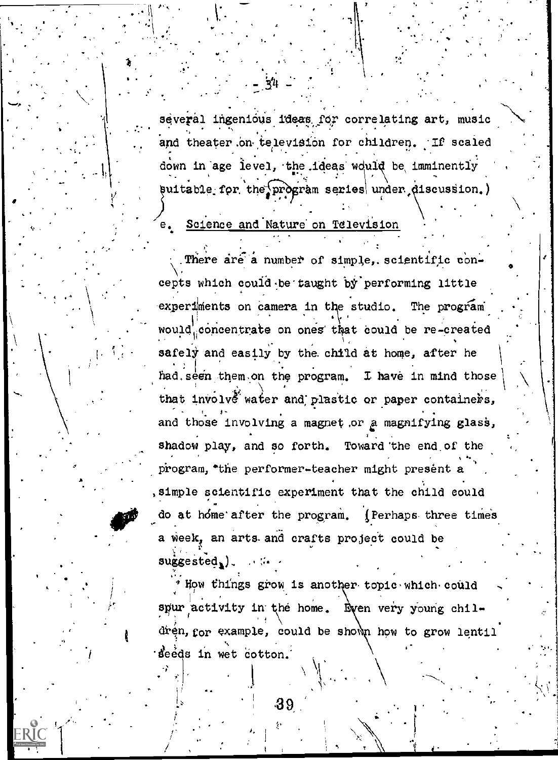several ingenious ideas for correlating art, music and theater on television for children. If scaled down in age level, the ideas would be imminently suitable for the program series under discussion.)

### Science and Nature on Television

There are a number of simple, scientific concepts which could be taught by performing little experiments on camera in the studio. The program would concentrate on ones that could be re-created safely and easily by the child at home, after he had seen them on the program. I have in mind those that involve water and plastic or paper containers, and those involving a magnet or a magnifying glass, shadow play, and so forth. Toward the end of the program, "the performer-teacher might present a , simple scientific experiment that the child could do at home after the program. (Perhaps three times a week, an arts and crafts project could be  $suggested$ ,  $)$ .

" How things grow is another topic which could spur activity in the home. Even very young  $ch1$ dren, for example, could be shown how to grow lentil seeds in wet cotton.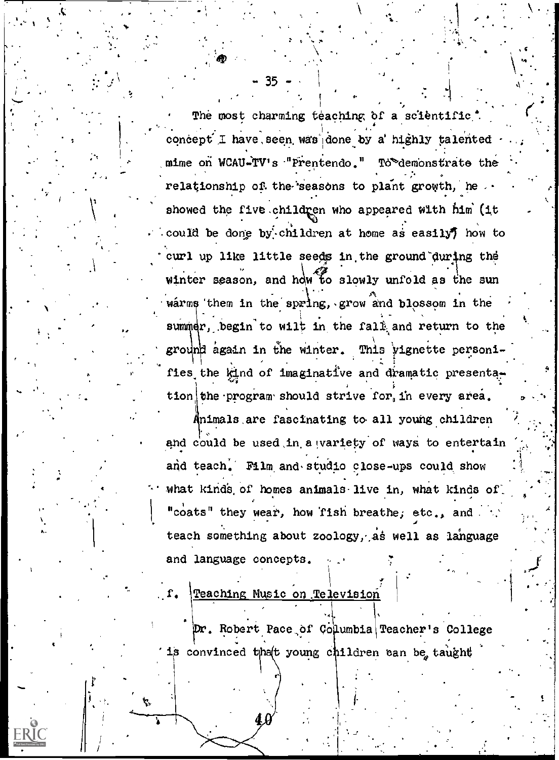The most charming teaching of a scientific. concept I have seen was done by a highly talented mime on WCAU-TV's "Prentendo." To demonstrate the relationship of the seasons to plant growth, he ... showed the five children who appeared with him (it could be done by children at home as easily) how to curl up like little seeds in the ground during the winter season, and how to slowly unfold as the sun warms them in the spring, grow and blossom in the summer, begin to wilt in the fall and return to the ground again in the winter. This vignette personifies the kind of imaginative and dramatic presentation the program should strive for in every area.

Animals are fascinating to all young children and could be used in a wariety of ways to entertain and teach. Film and studio close-ups could show what kinds of homes animals live in, what kinds of "coats" they wear, how fish breathe, etc., and teach something about zoology, as well as language and language concepts.

Teaching Music on Television

Dr. Robert Pace of Columbia Teacher's College is convinced that young children can be taught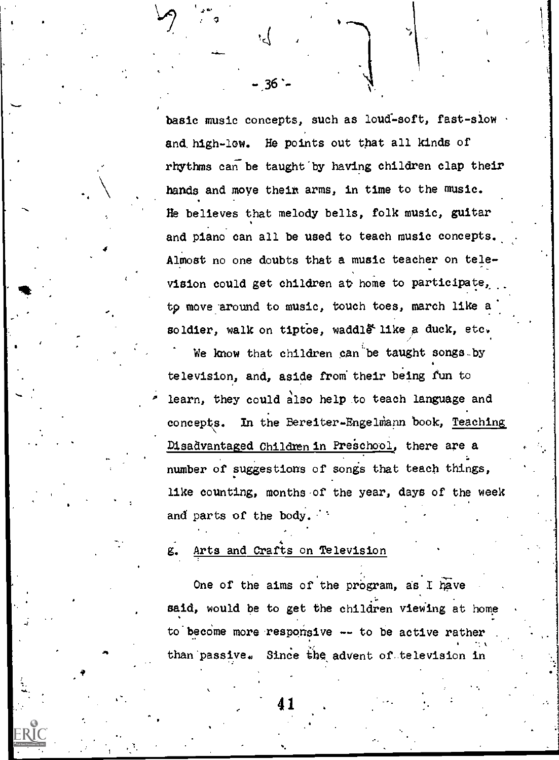basic music concepts, such as loud-soft, fast-slow and. high-low. He points out that all kinds of rhythms can be taught by having children clap their hands and move their arms, in time to the music. He believes that melody bells, folk music, guitar and piano can all be used to teach music concepts.. Almost no one doubts that a music teacher on television could get children at home to participate, to move around to music, touch toes, march like a soldier, walk on tiptoe, waddl $\tilde{e}$  like a duck, etc.

 $-36 -$ 

We know that children can be taught songs-by television, and, aside from their being fun to learn, they could also help to teach language and concepts. In the Bereiter-Engelmann book, Teaching Disadvantaged Children in Preschool, there are a number of suggestions of songs that teach things, like counting, months of the year, days of the week and parts of the body.

#### Arts and Crafts on Television g.

One of the aims of the program, as I have said, would be to get the children viewing at home  $\vert$ to become more responsive  $-$  to be active rather  $\ldots$ than passive. Since the advent of television in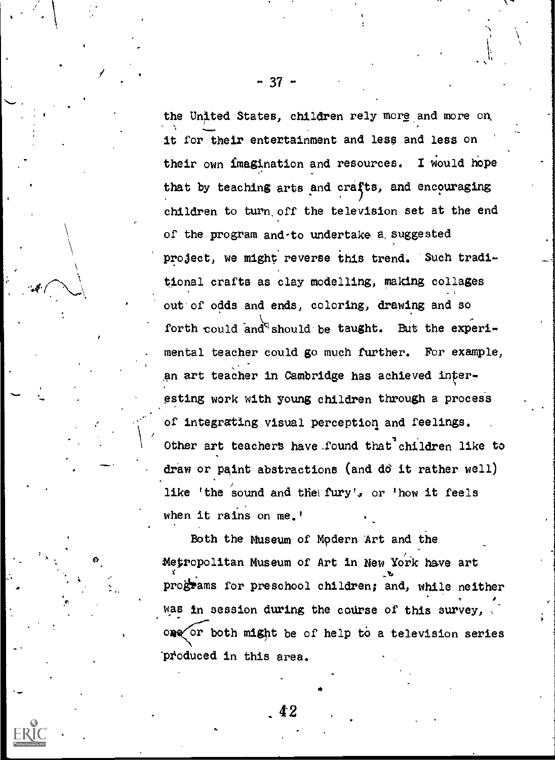the United States, children rely more and more on. it for their entertainment and less and less on their own imagination and resources. I would hope that by teaching arts and crafts, and encouraging children to turn. off the television set at the end of the program and-to undertake a, suggested project, we might reverse this trend. Such traditional crafts as clay modelling, making collages out of odds and ends, coloring, drawing and so forth could and should be taught. But the experimental teacher could go much further. For example, an art teacher in Cambridge has achieved interesting work with young children through a process of integrating visual perception and feelings. Other art teachers have found that children like to draw or paint abstractions (and do it rather well) like 'the sound and the fury', or 'how it feels when it rains on me.'

Both the Museum of Mpdern Art and the Metropolitan Museum of Art in New York have art programs for preschool children; and, while neither was in session during the course of this survey, or both might be of help to a television series produced in this area.

a

 $\frac{1}{2}$  -  $\frac{1}{2}$  - 37 -  $\frac{1}{2}$ 

4 Z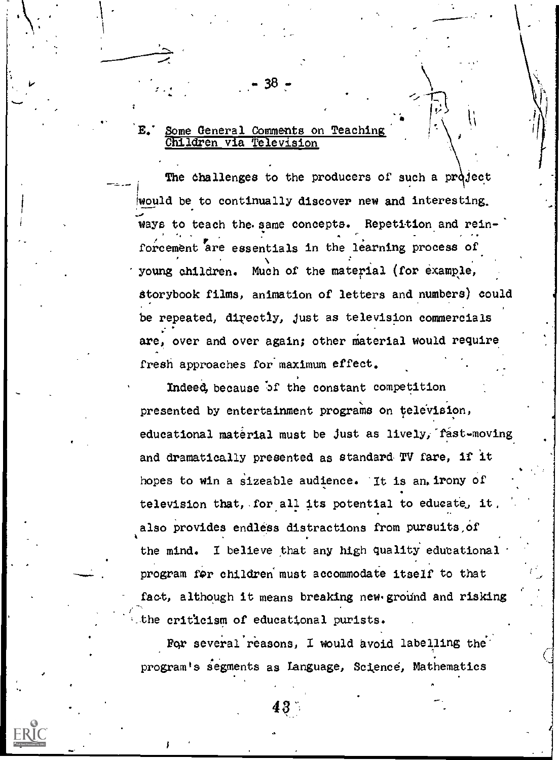### $\mathcal{L} = \begin{bmatrix} \mathcal{L} \\ \mathcal{L} \end{bmatrix}$ E.' Some General Comments on Teaching Children via Television

38

The challenges to the producers of such a project Iwould be to continually discover new and interesting. ways to teach the. same concepts. Repetition and rein- . forcement are essentials in the learning process of young children. Much of the material (for example, Storybook films, animation of letters and numbers) could be repeated, directly, just as television commercials are, over and over again; other material would require fresh approaches for maximum effect.

Indeed, because of the constant competition presented by entertainment programs on television, educational material must be just as lively, fast-moving and dramatically presented as standard: TV fare, if it hopes to win a sizeable audience. It is an. irony of television that, for all its potential to educate, it, also provides endless distractions from pursuits of the mind. I believe that any high quality educational program for children must accommodate itself to that fact, although it means breaking new ground and risking ,-the criticism of educational purists.

For several reasons, I would avoid labelling the program's segments as Language, Science, Mathematics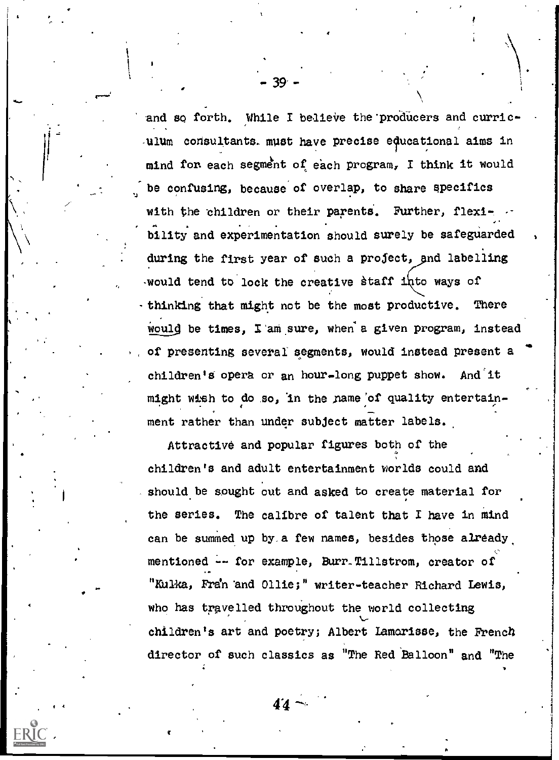and so forth. While I believe the producers and curriculum consultants-must have precise educational aims in mind fon each segment of each program, I think it would be confusing, because of overlap, to share specifics with the children or their parents. Further, flexibllity and experimentation should surely be safeguarded during the first year of such a profect, and labelling would tend to lock the creative staff into ways of -thinking that might not be the most productive. There would be times, I am sure, when a given program, instead of presenting several segments, would instead present a children's opera or an hour-long puppet show. And it might wish to do so, in the name of quality entertainment rather than under subject matter labels.

Attractive and popular figures both of the children's and adult entertainment worlds could and should be sought out and asked to create material for the series. The calibre of talent that I have in mind can be summed up by,a few names, besides those already,  $c \sim$ mentioned -- for example, Burr. Tillstrom, creator of "Kulka, Fran and Ollie;" writer-teacher Richard Lewis, who has travelled throughout the world collecting children's art and poetry; Albert Lamorisse, the French director of such classics as "The Red Balloon" and "The

 $44 -$ 

39-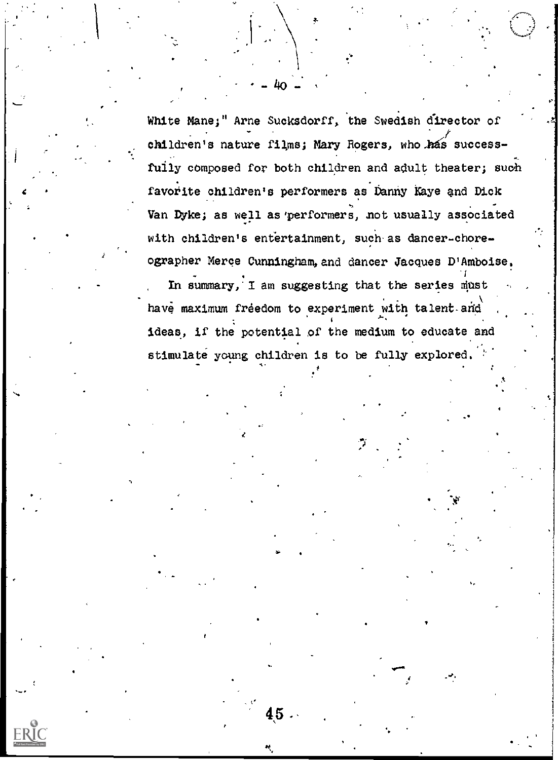White Mane;" Arne Sucksdorff, the Swedish director of children's nature films; Mary Rogers, who has successfully composed for both children and adult theater; such favorite children's performers as Danny Kaye and Dick Van Dyke; as well as performers, not usually associated with children's entertainment, such as dancer-choreographer Merce Cunningham, and dancer Jacques D'Amboise.

 $\mathbf{r} \in \mathbb{R}^N$ 

 $-40 - 1$ 

In summary,  $I$  am suggesting that the series must have maximum freedom to experiment with talent and ideas, if the potential of the medium to educate and stimulate young children is to be fully explored.

45 .

and the second control of the second control of the second control of the second control of the second control of the second control of the second control of the second control of the second control of the second control o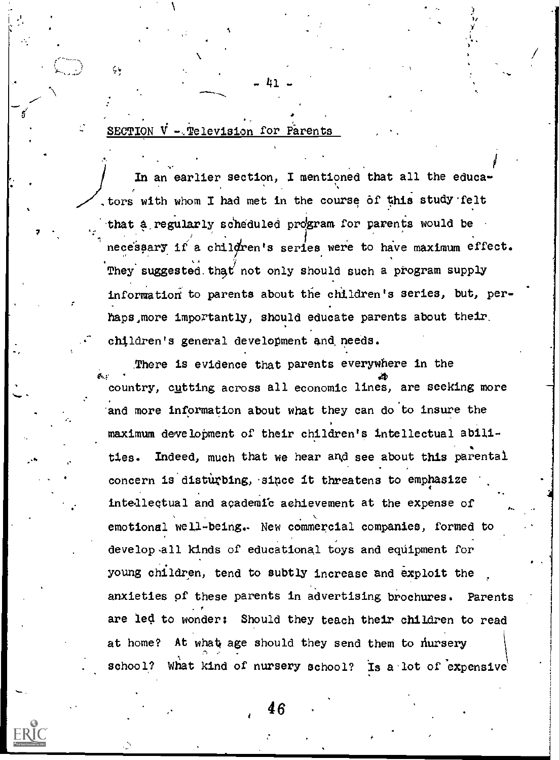### SECTION V - Television for Parents (1998)

. ....\_\_\_.

.

 $\sim$   $\sim$   $\sim$ 

 $\zeta$  .

...---

i kacamatan ing Kabupatèn Kabupatèn Kabupatèn Kabupatèn Kabupatèn Kabupatèn Kabupatèn Kabupatèn Kabupatèn Kabu In an earlier section, I mentioned that all the educators with whom I had met in the course of this study felt that a regularly scheduled program for parents would be necessary if a children's series were to have maximum effect.  $\vert$ , ka (1989) They suggested that not only should such a program supply information to parents about the children's series, but, perhaps,more importantly, should educate parents about their. children's general development and, needs.

- 41

a

There is evidence that parents everywhere in the  $\alpha$  +  $\alpha$  +  $\alpha$  +  $\alpha$  +  $\alpha$  +  $\alpha$  +  $\alpha$  +  $\alpha$  +  $\alpha$  +  $\alpha$  +  $\alpha$  +  $\alpha$  +  $\alpha$  +  $\alpha$ country, c<u>u</u>tting across all economic lines, are seeking more  $\Box$ 'and more information about what they can do to insure the maximum development of their children's intellectual abili ties. Indeed, much that we hear and see about this parental concern is disturbing, since it threatens to emphasize intellectual and academic achievement at the expense of emotional well-being.. New commercial companies, formed to develop all kinds of educational toys and equipment for young children, tend to subtly increase and exploit the anxieties of these parents in advertising brochures. Parents are led to wonder: Should they teach their children to read at home? At what age should they send them to nursery school? What kind of nursery school? Is a lot of expensive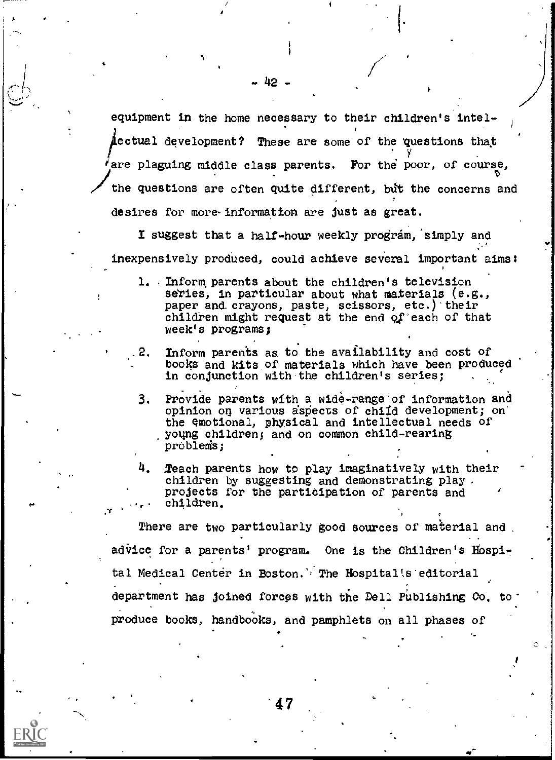equipment in the home necessary to their children's Intel- $\mu$ ectual development? These are some of the questions that are plaguing middle class parents. For the poor, of course, the questions are often quite different, bit the concerns and desires for more information are just as great.

I suggest that a half-hour weekly program, simply and inexpensively produced, could achieve several important aims:

- 1. Inform parents about the children's television series, in particular about what materials  $(e.g.,)$ paper and crayons, paste, scissors,  $etc.$ ) their children might request at the end of each of that week's programs;
- .2. Inform parents as to the availability and cost of books and kits.of materials which have been produced in conjunction with the children's series;
- 3. Provide parents with a wide-range of information and opinion on various aspects of child development; on the emotional, physical and intellectual needs of yoting children; and on common child-rearing problems;
- 4. Teach parents how to play imaginatively with their children by suggesting and demonstrating play. projects for the partidipation of parents and ..,- children,

There are two particularly good sources of material and advice for a parents' program. One is the Children's Hospital Medical Center in Boston.' The Hospitalts editorial department has joined forces with the Dell Publishing Co, toproduce books, handbooks, and pamphlets on all phases of

 $\circ$ 

47

 $\cdots$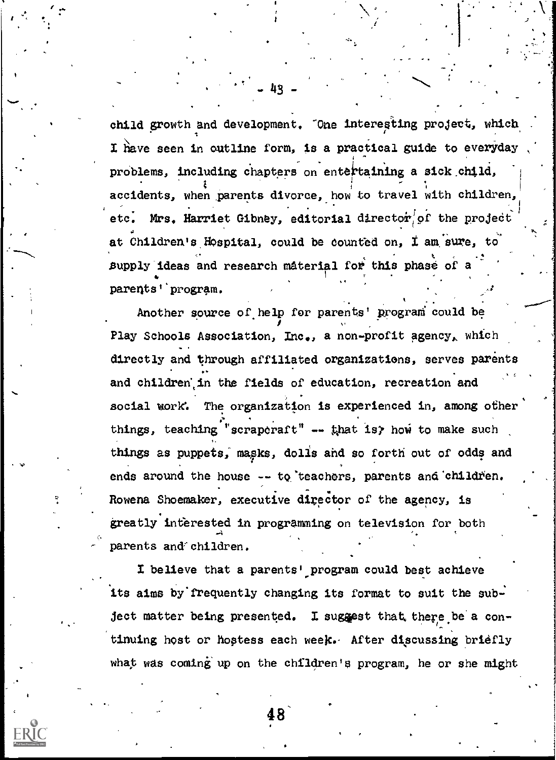child growth and development. "One interesting project, which I have seen in outline form, is a practical guide to everyday problems, including chapters on entertaining a sick child, accidents, when parents divorce, how to travel with children,  $\begin{bmatrix} 1 & 1 \\ 1 & 1 \end{bmatrix}$ 1 1 etc. Mrs. Harriet Gibney, editorial director of the project . at Children's Hospital, could be counted on, I am sure, to supply ideas and research material for this phase of a parents'` program.

c. Communication

Another source of, help for parents' program could be Play Schools Association, Inc., a non-profit agency, which directly and through affiliated organizations, serves parents and children in the fields of education, recreation and social work. The organization is experienced in, among other  $\vert$  $\ddot{\phantom{1}}$ things, teaching "scraporaft"  $\rightarrow$  that is how to make such things as puppets, masks, dolls and so forth out of odds and ends around the house -- to teachers, parents and children. Rowena Shoemaker, executive director of the agency, is greatly interested in programming on television for both parents and children.

I believe that a parents' program could best achieve its aims by frequently changing its format to suit the subject matter being presented. I suggest that there be a contiming host or hostess each week.. After discussing briefly what was coming up on the children's program, he or she might

48'

 $-43 - 7$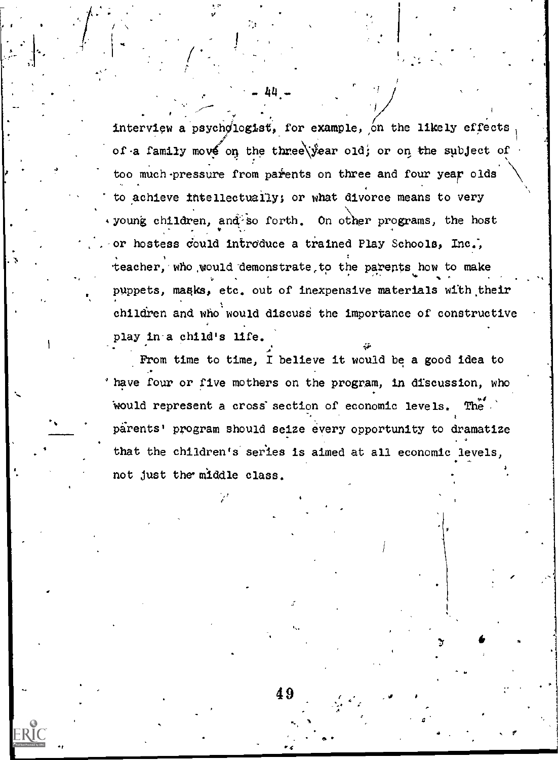interview a psychologist, for example, on the likely effects of a family move on the three\year old; or on the subject of too much pressure from parents on three and four year olds to achieve intellectually; or what divorce means to very voung children, and so forth. On other programs, the host or hostess could introduce a trained Play Schools, Inc., teacher, who would demonstrate to the parents how to make puppets, masks, etc. out of inexpensive materials with their  $children$  and who would discuss the importance of constructive  $\qquad \qquad \}$ play in-a child's life. -.

 $-44-$ 

 $\prime$   $\prime$ 

V

 $\mathbf{R}$  . The set of  $\mathbf{R}$ 

ERIC

...1111.i

From time to time, I believe it would be a good idea to 'have four or five mothers on the program, in discussion, who would represent a cross'section of economic levels. The . pirents' program should seize every opportunity to dramatize that the children's series is aimed at all economic levels, not just the' middle class.

4

 $49$  -  $\mathcal{L}^{(2)}$ 

\_

f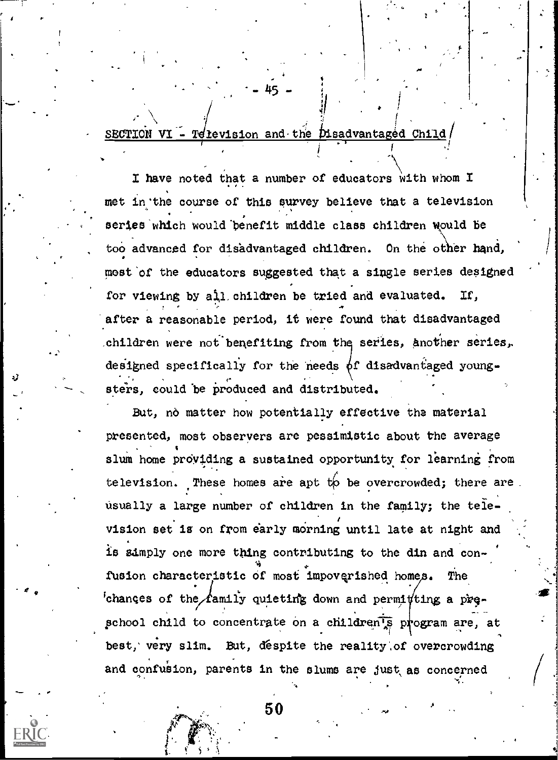SECTION VI - Television and the Disadvantaged Child

I have noted that a number of educators with whom I met in the course of this survey believe that a television series which would benefit middle class children would be too advanced for disadvantaged children. On the other hand, most of the educators suggested that a single series designed for viewing by all children be tried and evaluated. If. after a reasonable period, it were found that disadvantaged children were not benefiting from the series, another series, designed specifically for the needs of disadvantaged youngsters, could be produced and distributed.

But, no matter how potentially effective the material presented, most observers are pessimistic about the average slum home providing a sustained opportunity for learning from television. These homes are apt to be overcrowded; there are usually a large number of children in the family; the television set is on from early morning until late at night and is samply one more thing contributing to the din and confusion characteristic of most impoverished homes. The changes of the family quieting down and permitting a preschool child to concentrate on a children's program are, at best, very slim. But, despite the reality of overcrowding and confusion, parents in the slums are just as concerned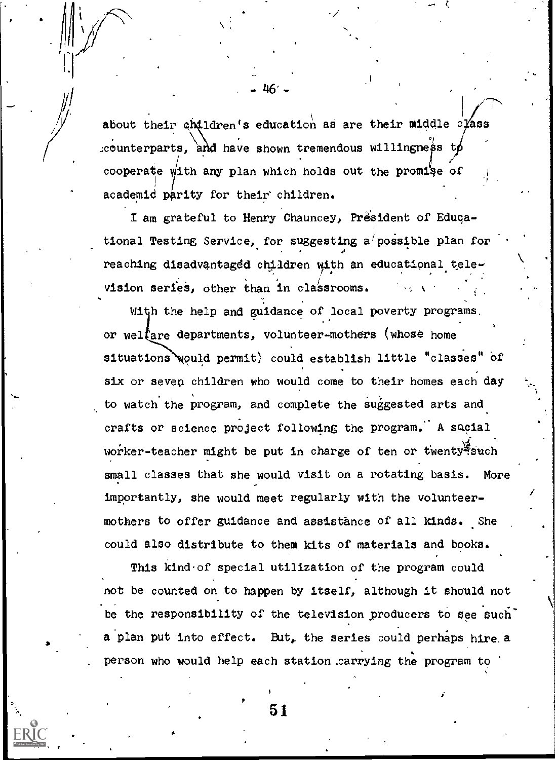about their children's education as are their middle class .counterparts, and have shown tremendous willingness t cooperate with any plan which holds out the promise of academid parity for their children.

,

. 46' -

I am grateful to Henry Chauncey, President of Educational Testing Service, for suggesting a'possible plan for reaching disadvantaged children with an educational television series, other than in classrooms.

With the help and guidance of local poverty programs, or welfare departments, volunteer-mothers (whose home situations would permit) could establish little "classes" of six or seven children who would come to their homes each day to watch the program, and complete the suggested arts and crafts or science project following the program: A social worker-teacher might be put in charge of ten or twenty such  $\left| \right|$ small classes that she would visit on a rotating basis. More importantly, she would meet regularly with the volunteermothers to offer guidance and assistance of all kinds. She could also distribute to them kits of materials and books.

This kind of special utilization of the program could not be counted on to happen by itself, although it should not be the responsibility of the television producers to see such" a plan put into effect. But, the series could perhaps hire a person who would help each station .carrying the program to

 $\frac{1}{2}$  .  $\frac{1}{2}$  .  $\frac{1}{2}$  .  $\frac{1}{2}$  .  $\frac{1}{2}$  .  $\frac{1}{2}$  .  $\frac{1}{2}$  .  $\frac{1}{2}$  .  $\frac{1}{2}$  .  $\frac{1}{2}$  .  $\frac{1}{2}$  .  $\frac{1}{2}$  .  $\frac{1}{2}$  .  $\frac{1}{2}$  .  $\frac{1}{2}$  .  $\frac{1}{2}$  .  $\frac{1}{2}$  .  $\frac{1}{2}$  .  $\frac{1$ 

k.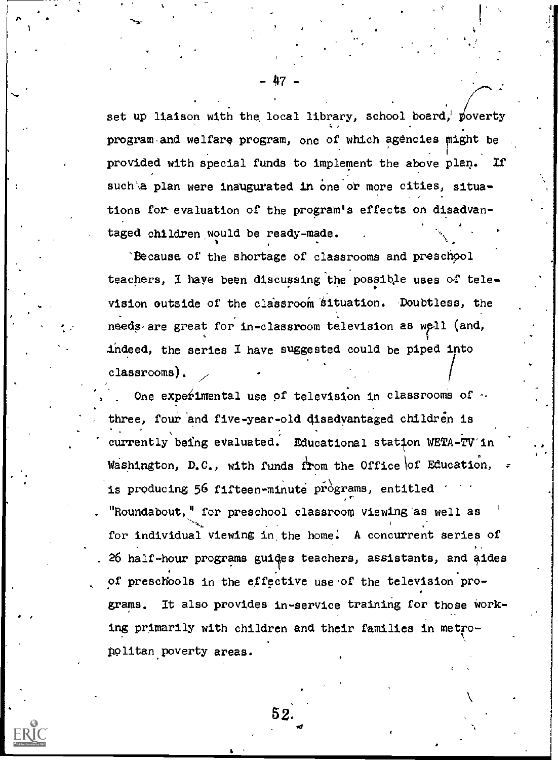set up liaison with the local library, school board, poverty program-and welfare program, one of which agencies might be provided with special funds to implement the above plan. If such a plan were inaugurated in one or more cities, situations for-evaluation of the program's effects on disadvantaged children would be ready-made.

6,

.1

'Because of the shortage of classrooms and preschool teachers, I have been discussing the possible uses of television outside of the classroom situation. Doubtless, the needs are great for in-classroom television as  $well$  (and, indeed, the series  $I$  have suggested could be piped into classrooms)

One experimental use of television in classrooms of  $\sim$ three, four and five-year-old disadvantaged children is currently being evaluated. Educational station WETA-TV in Washington, D.C., with funds from the Office of Education, is producing 56 fifteen-minute programs, entitled "Roundabout," for preschool classroom viewing'as well as -,. . 1 . for individual viewing in the home. A concurrent series of , 26 half-hour programs guides teachers, assistants, and aides of preschools in the effective use of the television programs. It also provides in-service training for those Working primarily with children and their families in metropplitan.poverty areas.

52.

 $-47-$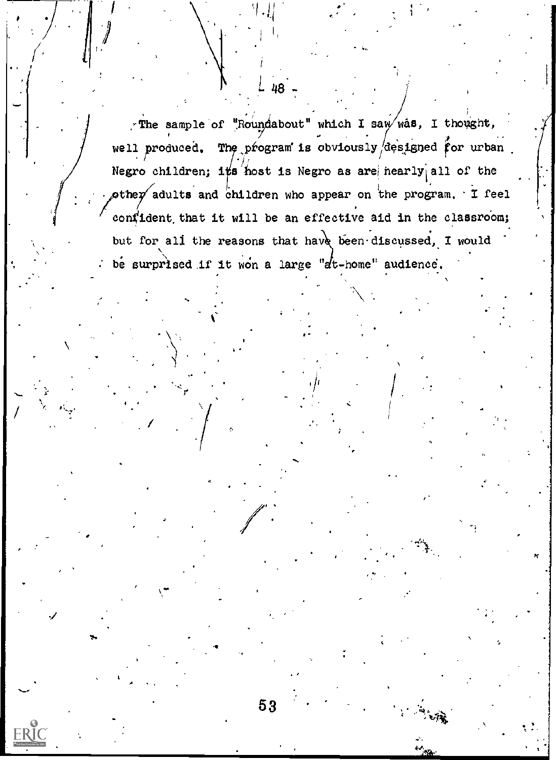-The sample of "Roundabout" which I saw was, I thought, well produced. The program is obviously designed for urban. Negro children; it's host is Negro as are nearly all of the  $\phi$ the $p'$  adults and children who appear on the program. I feel confident that it will be an effective aid in the classroom; but for all the reasons that have been discussed, I would be surprised if it won a large "at-home" audience.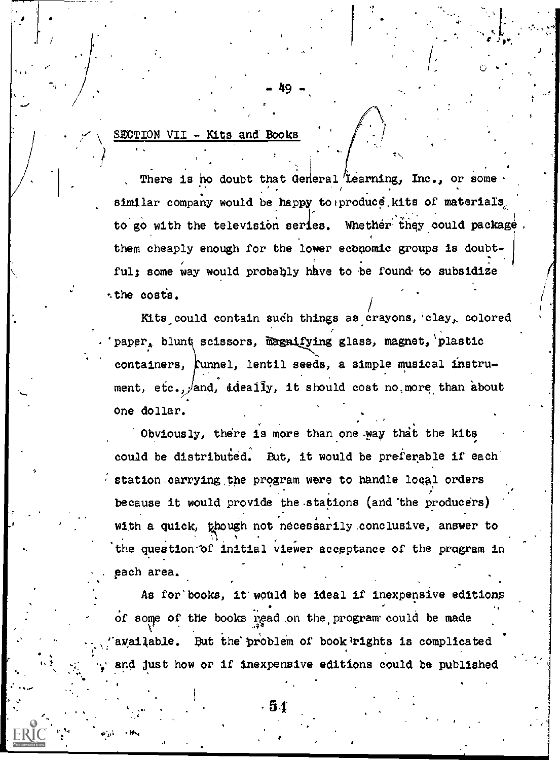### SECTION VII - Kits and Books

e

 $4.4 < 1.4$ 

There is ho doubt that General Learning, Inc., or some. similar company would be happy to produce, kits of materials, to go with the television series. Whether they could package. them cheaply enough for the lower economic groups is doubtful; some way would probably have to be found to subsidize :the costs.

49 -

**12** (1997) 1997

Kits could contain such things as crayons, clay, colored . The contract of the contract of the contract of the contract of the contract of the contract of the contract of the contract of the contract of the contract of the contract of the contract of the contract of the contrac paper, blunt scissors, magnifying glass, magnet, plastic containers,  $\text{funnel}$ , lentil seeds, a simple musical instrument,  $etc.,$  and, ideally, it should cost no, more than about one dollar.

Obviously, there is more than one way that the kits could be distributed. But, it would be preferable if each station carrying the program were to handle local orders because it would provide the stations (and the producers) with a quick, though not necessarily conclusive, answer to 7, 17 July 2017 the question of initial viewer acceptance of the program in each area.

As for books, it would be ideal if inexpensive editions of some of the books read on the program could be made available. But the problem of book rights is complicated and just how or if inexpensive editions could be published

, ts Brit

.

. ,

40'<sub>2</sub>'4' ON D<sup>2</sup>P<sub>4</sub>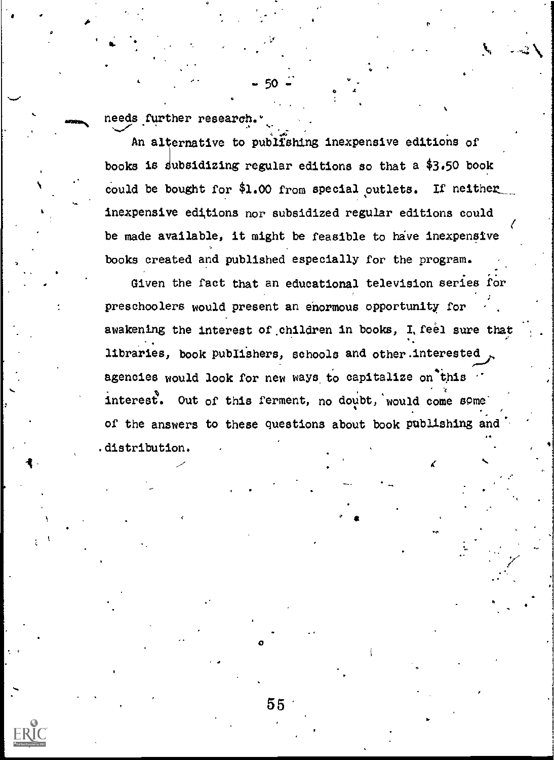needs further research."

An alternative to publishing inexpensive editions of books is subsidizing regular editions so that a \$3.50 book could be bought for \$1.00 from special outlets. If neither inexpensive editions nor subsidized regular editions could be made available, it might be feasible to have inexpensive books created and published especially for the program.

Given the fact that an educational television series for preschoolers would present an enormous opportunity for awakening the interest of children in books, I feel sure that libraries, book publishers, schools and other interested agencies would look for new ways to capitalize on this interest. Out of this ferment, no doubt, would come some of the answers to these questions about book publishing and .distribution.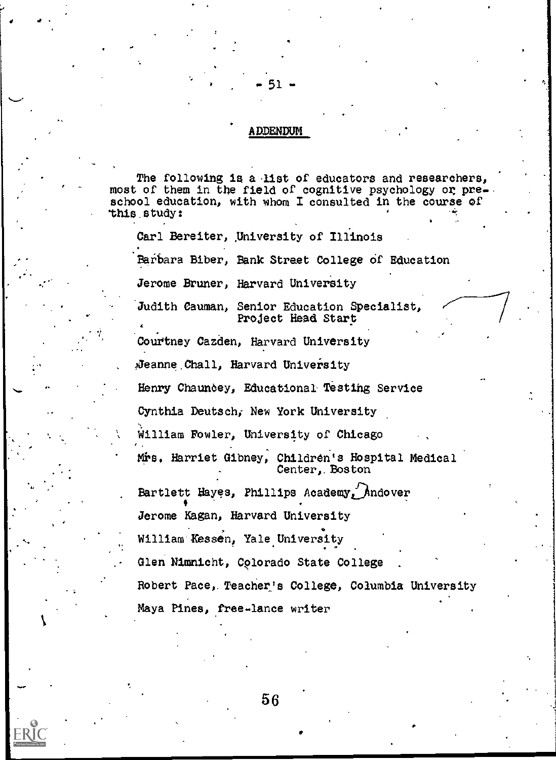### ADDENDUM

- 51

 $\epsilon$  and  $\epsilon$  and  $\epsilon$ 

JO

.64

4.0

The following is a list of educators and researchers, most of them in the field of cognitive psychology or preschool education, with whom I consulted in the course of 'this. study:

Carl Bereiter, University of Illinois Barbara Biber, Bank Street College of Education Jerome Bruner, Harvard University Judith Cauman, Senior Education Specialist, Project Head Start Courtney Cazden, Harvard University , Jeanne Chall, Harvard University Henry Chauncey, Educational Testing Service Cynthia Deutsch; New York University William Fowler, University of Chicago Mrs. Harriet Gibney, Children's Hospital Medical Center,.Boston Bartlett Hayes, Phillips Academy Andover Jerome Kagan, Harvard University William'Kessen, Yale University Glen Nimnicht, Colorado State College Robert Pace,. Teacher's College, Columbia University Maya Pines, free-lance writer